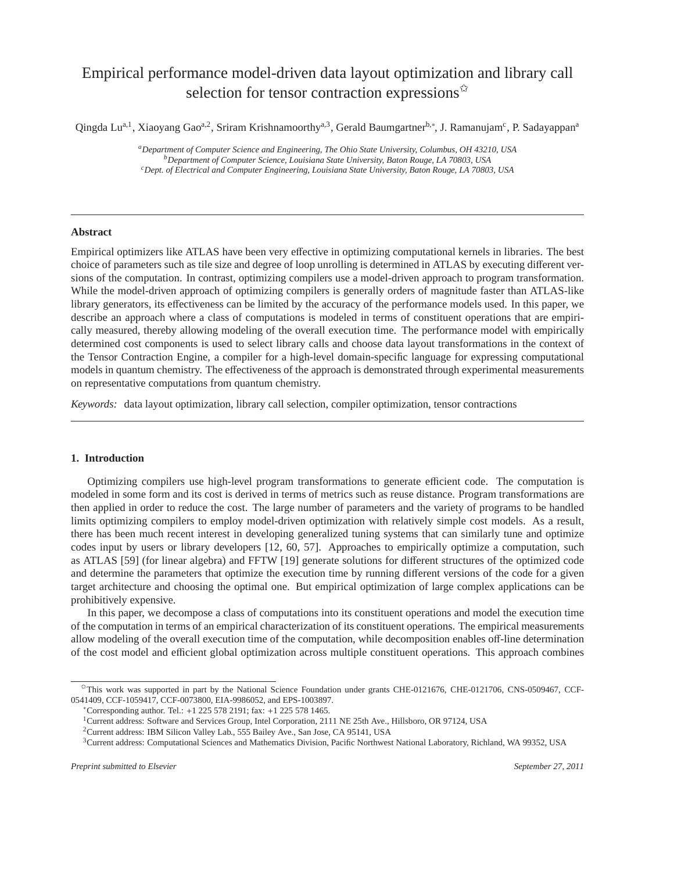# Empirical performance model-driven data layout optimization and library call selection for tensor contraction expressions  $\hat{z}$

Qingda Lu<sup>a,1</sup>, Xiaoyang Gao<sup>a,2</sup>, Sriram Krishnamoorthy<sup>a,3</sup>, Gerald Baumgartner<sup>b,∗</sup>, J. Ramanujam<sup>c</sup>, P. Sadayappan<sup>a</sup>

*<sup>a</sup>Department of Computer Science and Engineering, The Ohio State University, Columbus, OH 43210, USA <sup>b</sup>Department of Computer Science, Louisiana State University, Baton Rouge, LA 70803, USA <sup>c</sup>Dept. of Electrical and Computer Engineering, Louisiana State University, Baton Rouge, LA 70803, USA*

# **Abstract**

Empirical optimizers like ATLAS have been very effective in optimizing computational kernels in libraries. The best choice of parameters such as tile size and degree of loop unrolling is determined in ATLAS by executing different versions of the computation. In contrast, optimizing compilers use a model-driven approach to program transformation. While the model-driven approach of optimizing compilers is generally orders of magnitude faster than ATLAS-like library generators, its effectiveness can be limited by the accuracy of the performance models used. In this paper, we describe an approach where a class of computations is modeled in terms of constituent operations that are empirically measured, thereby allowing modeling of the overall execution time. The performance model with empirically determined cost components is used to select library calls and choose data layout transformations in the context of the Tensor Contraction Engine, a compiler for a high-level domain-specific language for expressing computational models in quantum chemistry. The effectiveness of the approach is demonstrated through experimental measurements on representative computations from quantum chemistry.

*Keywords:* data layout optimization, library call selection, compiler optimization, tensor contractions

## **1. Introduction**

Optimizing compilers use high-level program transformations to generate efficient code. The computation is modeled in some form and its cost is derived in terms of metrics such as reuse distance. Program transformations are then applied in order to reduce the cost. The large number of parameters and the variety of programs to be handled limits optimizing compilers to employ model-driven optimization with relatively simple cost models. As a result, there has been much recent interest in developing generalized tuning systems that can similarly tune and optimize codes input by users or library developers [12, 60, 57]. Approaches to empirically optimize a computation, such as ATLAS [59] (for linear algebra) and FFTW [19] generate solutions for different structures of the optimized code and determine the parameters that optimize the execution time by running different versions of the code for a given target architecture and choosing the optimal one. But empirical optimization of large complex applications can be prohibitively expensive.

In this paper, we decompose a class of computations into its constituent operations and model the execution time of the computation in terms of an empirical characterization of its constituent operations. The empirical measurements allow modeling of the overall execution time of the computation, while decomposition enables off-line determination of the cost model and efficient global optimization across multiple constituent operations. This approach combines

<sup>✩</sup>This work was supported in part by the National Science Foundation under grants CHE-0121676, CHE-0121706, CNS-0509467, CCF-0541409, CCF-1059417, CCF-0073800, EIA-9986052, and EPS-1003897.

<sup>∗</sup>Corresponding author. Tel.: +1 225 578 2191; fax: +1 225 578 1465.

<sup>&</sup>lt;sup>1</sup>Current address: Software and Services Group, Intel Corporation, 2111 NE 25th Ave., Hillsboro, OR 97124, USA

<sup>&</sup>lt;sup>2</sup>Current address: IBM Silicon Valley Lab., 555 Bailey Ave., San Jose, CA 95141, USA

<sup>3</sup>Current address: Computational Sciences and Mathematics Division, Pacific Northwest National Laboratory, Richland, WA 99352, USA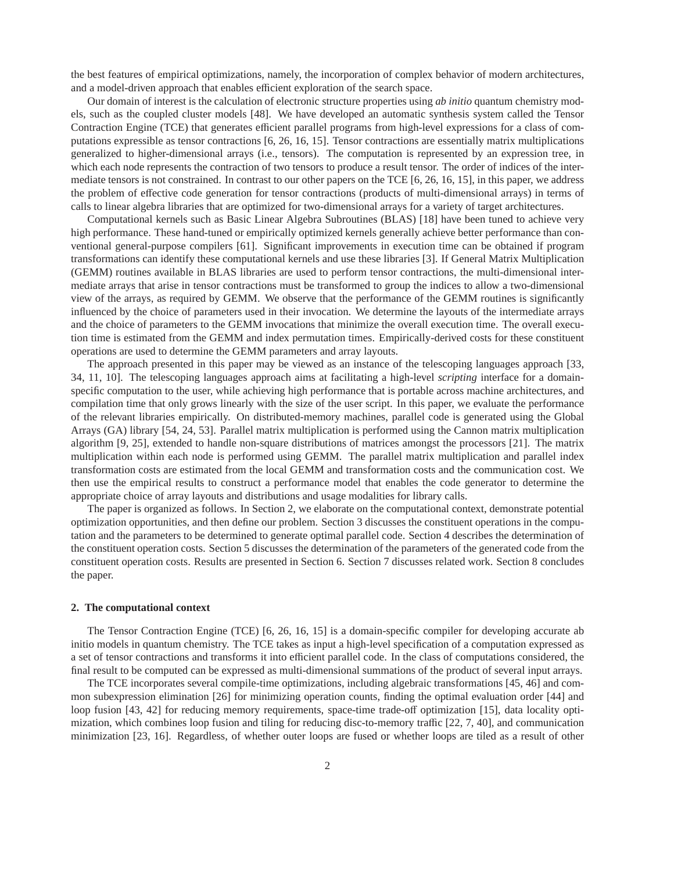the best features of empirical optimizations, namely, the incorporation of complex behavior of modern architectures, and a model-driven approach that enables efficient exploration of the search space.

Our domain of interest is the calculation of electronic structure properties using *ab initio* quantum chemistry models, such as the coupled cluster models [48]. We have developed an automatic synthesis system called the Tensor Contraction Engine (TCE) that generates efficient parallel programs from high-level expressions for a class of computations expressible as tensor contractions [6, 26, 16, 15]. Tensor contractions are essentially matrix multiplications generalized to higher-dimensional arrays (i.e., tensors). The computation is represented by an expression tree, in which each node represents the contraction of two tensors to produce a result tensor. The order of indices of the intermediate tensors is not constrained. In contrast to our other papers on the TCE [6, 26, 16, 15], in this paper, we address the problem of effective code generation for tensor contractions (products of multi-dimensional arrays) in terms of calls to linear algebra libraries that are optimized for two-dimensional arrays for a variety of target architectures.

Computational kernels such as Basic Linear Algebra Subroutines (BLAS) [18] have been tuned to achieve very high performance. These hand-tuned or empirically optimized kernels generally achieve better performance than conventional general-purpose compilers [61]. Significant improvements in execution time can be obtained if program transformations can identify these computational kernels and use these libraries [3]. If General Matrix Multiplication (GEMM) routines available in BLAS libraries are used to perform tensor contractions, the multi-dimensional intermediate arrays that arise in tensor contractions must be transformed to group the indices to allow a two-dimensional view of the arrays, as required by GEMM. We observe that the performance of the GEMM routines is significantly influenced by the choice of parameters used in their invocation. We determine the layouts of the intermediate arrays and the choice of parameters to the GEMM invocations that minimize the overall execution time. The overall execution time is estimated from the GEMM and index permutation times. Empirically-derived costs for these constituent operations are used to determine the GEMM parameters and array layouts.

The approach presented in this paper may be viewed as an instance of the telescoping languages approach [33, 34, 11, 10]. The telescoping languages approach aims at facilitating a high-level *scripting* interface for a domainspecific computation to the user, while achieving high performance that is portable across machine architectures, and compilation time that only grows linearly with the size of the user script. In this paper, we evaluate the performance of the relevant libraries empirically. On distributed-memory machines, parallel code is generated using the Global Arrays (GA) library [54, 24, 53]. Parallel matrix multiplication is performed using the Cannon matrix multiplication algorithm [9, 25], extended to handle non-square distributions of matrices amongst the processors [21]. The matrix multiplication within each node is performed using GEMM. The parallel matrix multiplication and parallel index transformation costs are estimated from the local GEMM and transformation costs and the communication cost. We then use the empirical results to construct a performance model that enables the code generator to determine the appropriate choice of array layouts and distributions and usage modalities for library calls.

The paper is organized as follows. In Section 2, we elaborate on the computational context, demonstrate potential optimization opportunities, and then define our problem. Section 3 discusses the constituent operations in the computation and the parameters to be determined to generate optimal parallel code. Section 4 describes the determination of the constituent operation costs. Section 5 discusses the determination of the parameters of the generated code from the constituent operation costs. Results are presented in Section 6. Section 7 discusses related work. Section 8 concludes the paper.

# **2. The computational context**

The Tensor Contraction Engine (TCE) [6, 26, 16, 15] is a domain-specific compiler for developing accurate ab initio models in quantum chemistry. The TCE takes as input a high-level specification of a computation expressed as a set of tensor contractions and transforms it into efficient parallel code. In the class of computations considered, the final result to be computed can be expressed as multi-dimensional summations of the product of several input arrays.

The TCE incorporates several compile-time optimizations, including algebraic transformations [45, 46] and common subexpression elimination [26] for minimizing operation counts, finding the optimal evaluation order [44] and loop fusion [43, 42] for reducing memory requirements, space-time trade-off optimization [15], data locality optimization, which combines loop fusion and tiling for reducing disc-to-memory traffic [22, 7, 40], and communication minimization [23, 16]. Regardless, of whether outer loops are fused or whether loops are tiled as a result of other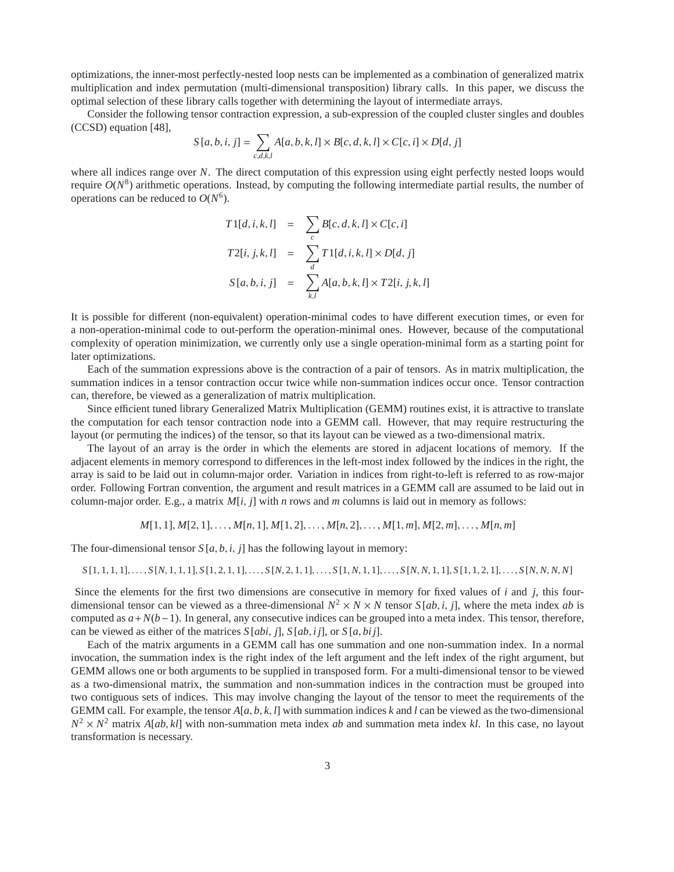optimizations, the inner-most perfectly-nested loop nests can be implemented as a combination of generalized matrix multiplication and index permutation (multi-dimensional transposition) library calls. In this paper, we discuss the optimal selection of these library calls together with determining the layout of intermediate arrays.

Consider the following tensor contraction expression, a sub-expression of the coupled cluster singles and doubles (CCSD) equation [48],

$$
S[a, b, i, j] = \sum_{c,d,k,l} A[a, b, k, l] \times B[c, d, k, l] \times C[c, i] \times D[d, j]
$$

where all indices range over *N*. The direct computation of this expression using eight perfectly nested loops would require  $O(N^8)$  arithmetic operations. Instead, by computing the following intermediate partial results, the number of operations can be reduced to  $O(N^6)$ .

$$
T1[d, i, k, l] = \sum_{c} B[c, d, k, l] \times C[c, i]
$$
  
\n
$$
T2[i, j, k, l] = \sum_{d} T1[d, i, k, l] \times D[d, j]
$$
  
\n
$$
S[a, b, i, j] = \sum_{k,l} A[a, b, k, l] \times T2[i, j, k, l]
$$

It is possible for different (non-equivalent) operation-minimal codes to have different execution times, or even for a non-operation-minimal code to out-perform the operation-minimal ones. However, because of the computational complexity of operation minimization, we currently only use a single operation-minimal form as a starting point for later optimizations.

Each of the summation expressions above is the contraction of a pair of tensors. As in matrix multiplication, the summation indices in a tensor contraction occur twice while non-summation indices occur once. Tensor contraction can, therefore, be viewed as a generalization of matrix multiplication.

Since efficient tuned library Generalized Matrix Multiplication (GEMM) routines exist, it is attractive to translate the computation for each tensor contraction node into a GEMM call. However, that may require restructuring the layout (or permuting the indices) of the tensor, so that its layout can be viewed as a two-dimensional matrix.

The layout of an array is the order in which the elements are stored in adjacent locations of memory. If the adjacent elements in memory correspond to differences in the left-most index followed by the indices in the right, the array is said to be laid out in column-major order. Variation in indices from right-to-left is referred to as row-major order. Following Fortran convention, the argument and result matrices in a GEMM call are assumed to be laid out in column-major order. E.g., a matrix *M*[*i*, *j*] with *n* rows and *m* columns is laid out in memory as follows:

$$
M[1, 1], M[2, 1], \ldots, M[n, 1], M[1, 2], \ldots, M[n, 2], \ldots, M[1, m], M[2, m], \ldots, M[n, m]
$$

The four-dimensional tensor  $S[a, b, i, j]$  has the following layout in memory:

$$
S[1,1,1,1],\ldots,S[N,1,1,1],S[1,2,1,1],\ldots,S[N,2,1,1],\ldots,S[1,N,1,1],\ldots,S[N,N,1,1],S[1,1,2,1],\ldots,S[N,N,N,N]
$$

Since the elements for the first two dimensions are consecutive in memory for fixed values of *i* and *j*, this fourdimensional tensor can be viewed as a three-dimensional  $N^2 \times N \times N$  tensor  $S[ab, i, j]$ , where the meta index *ab* is computed as  $a + N(b-1)$ . In general, any consecutive indices can be grouped into a meta index. This tensor, therefore, can be viewed as either of the matrices  $S[abi, j]$ ,  $S[ab, ij]$ , or  $S[a, bij]$ .

Each of the matrix arguments in a GEMM call has one summation and one non-summation index. In a normal invocation, the summation index is the right index of the left argument and the left index of the right argument, but GEMM allows one or both arguments to be supplied in transposed form. For a multi-dimensional tensor to be viewed as a two-dimensional matrix, the summation and non-summation indices in the contraction must be grouped into two contiguous sets of indices. This may involve changing the layout of the tensor to meet the requirements of the GEMM call. For example, the tensor  $A[a, b, k, l]$  with summation indices k and l can be viewed as the two-dimensional  $N^2 \times N^2$  matrix *A*[*ab*, *kl*] with non-summation meta index *ab* and summation meta index *kl*. In this case, no layout transformation is necessary.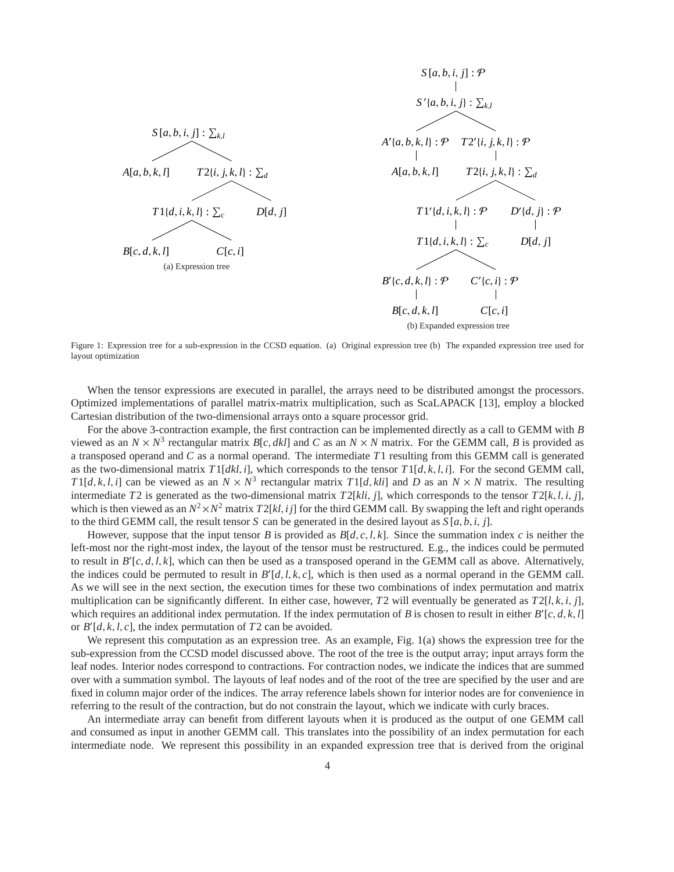

Figure 1: Expression tree for a sub-expression in the CCSD equation. (a) Original expression tree (b) The expanded expression tree used for layout optimization

When the tensor expressions are executed in parallel, the arrays need to be distributed amongst the processors. Optimized implementations of parallel matrix-matrix multiplication, such as ScaLAPACK [13], employ a blocked Cartesian distribution of the two-dimensional arrays onto a square processor grid.

For the above 3-contraction example, the first contraction can be implemented directly as a call to GEMM with *B* viewed as an  $N \times N^3$  rectangular matrix  $B[c, dkl]$  and *C* as an  $N \times N$  matrix. For the GEMM call, *B* is provided as a transposed operand and *C* as a normal operand. The intermediate *T*1 resulting from this GEMM call is generated as the two-dimensional matrix  $T1[dkl, i]$ , which corresponds to the tensor  $T1[d, k, l, i]$ . For the second GEMM call, *T*1[*d*, *k*, *l*, *i*] can be viewed as an  $N \times N^3$  rectangular matrix *T*1[*d*, *kli*] and *D* as an  $N \times N$  matrix. The resulting intermediate *T*2 is generated as the two-dimensional matrix  $T2[kli, j]$ , which corresponds to the tensor  $T2[k, l, i, j]$ , which is then viewed as an  $N^2 \times N^2$  matrix  $T2[k, i j]$  for the third GEMM call. By swapping the left and right operands to the third GEMM call, the result tensor *S* can be generated in the desired layout as  $S[a, b, i, j]$ .

However, suppose that the input tensor *B* is provided as  $B[d, c, l, k]$ . Since the summation index *c* is neither the left-most nor the right-most index, the layout of the tensor must be restructured. E.g., the indices could be permuted to result in  $B'(c, d, l, k]$ , which can then be used as a transposed operand in the GEMM call as above. Alternatively, the indices could be permuted to result in  $B'[d, l, k, c]$ , which is then used as a normal operand in the GEMM call. As we will see in the next section, the execution times for these two combinations of index permutation and matrix multiplication can be significantly different. In either case, however,  $T2$  will eventually be generated as  $T2[l, k, i, j]$ , which requires an additional index permutation. If the index permutation of *B* is chosen to result in either  $B'[c, d, k, l]$ or  $B'[d, k, l, c]$ , the index permutation of  $T2$  can be avoided.

We represent this computation as an expression tree. As an example, Fig. 1(a) shows the expression tree for the sub-expression from the CCSD model discussed above. The root of the tree is the output array; input arrays form the leaf nodes. Interior nodes correspond to contractions. For contraction nodes, we indicate the indices that are summed over with a summation symbol. The layouts of leaf nodes and of the root of the tree are specified by the user and are fixed in column major order of the indices. The array reference labels shown for interior nodes are for convenience in referring to the result of the contraction, but do not constrain the layout, which we indicate with curly braces.

An intermediate array can benefit from different layouts when it is produced as the output of one GEMM call and consumed as input in another GEMM call. This translates into the possibility of an index permutation for each intermediate node. We represent this possibility in an expanded expression tree that is derived from the original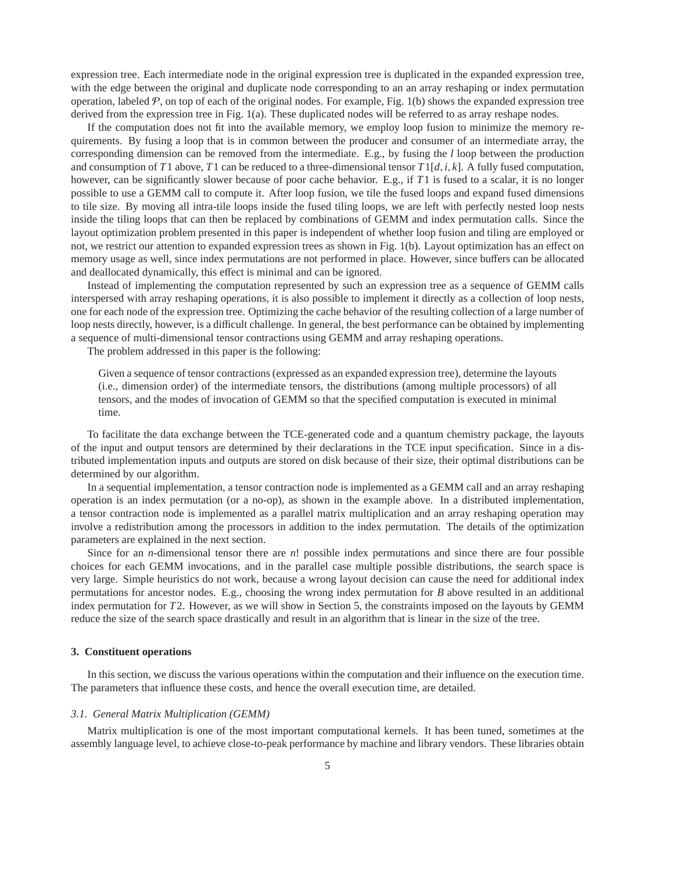expression tree. Each intermediate node in the original expression tree is duplicated in the expanded expression tree, with the edge between the original and duplicate node corresponding to an an array reshaping or index permutation operation, labeled  $\mathcal P$ , on top of each of the original nodes. For example, Fig. 1(b) shows the expanded expression tree derived from the expression tree in Fig. 1(a). These duplicated nodes will be referred to as array reshape nodes.

If the computation does not fit into the available memory, we employ loop fusion to minimize the memory requirements. By fusing a loop that is in common between the producer and consumer of an intermediate array, the corresponding dimension can be removed from the intermediate. E.g., by fusing the *l* loop between the production and consumption of *T*1 above, *T*1 can be reduced to a three-dimensional tensor  $T1[d, i, k]$ . A fully fused computation, however, can be significantly slower because of poor cache behavior. E.g., if *T*1 is fused to a scalar, it is no longer possible to use a GEMM call to compute it. After loop fusion, we tile the fused loops and expand fused dimensions to tile size. By moving all intra-tile loops inside the fused tiling loops, we are left with perfectly nested loop nests inside the tiling loops that can then be replaced by combinations of GEMM and index permutation calls. Since the layout optimization problem presented in this paper is independent of whether loop fusion and tiling are employed or not, we restrict our attention to expanded expression trees as shown in Fig. 1(b). Layout optimization has an effect on memory usage as well, since index permutations are not performed in place. However, since buffers can be allocated and deallocated dynamically, this effect is minimal and can be ignored.

Instead of implementing the computation represented by such an expression tree as a sequence of GEMM calls interspersed with array reshaping operations, it is also possible to implement it directly as a collection of loop nests, one for each node of the expression tree. Optimizing the cache behavior of the resulting collection of a large number of loop nests directly, however, is a difficult challenge. In general, the best performance can be obtained by implementing a sequence of multi-dimensional tensor contractions using GEMM and array reshaping operations.

The problem addressed in this paper is the following:

Given a sequence of tensor contractions (expressed as an expanded expression tree), determine the layouts (i.e., dimension order) of the intermediate tensors, the distributions (among multiple processors) of all tensors, and the modes of invocation of GEMM so that the specified computation is executed in minimal time.

To facilitate the data exchange between the TCE-generated code and a quantum chemistry package, the layouts of the input and output tensors are determined by their declarations in the TCE input specification. Since in a distributed implementation inputs and outputs are stored on disk because of their size, their optimal distributions can be determined by our algorithm.

In a sequential implementation, a tensor contraction node is implemented as a GEMM call and an array reshaping operation is an index permutation (or a no-op), as shown in the example above. In a distributed implementation, a tensor contraction node is implemented as a parallel matrix multiplication and an array reshaping operation may involve a redistribution among the processors in addition to the index permutation. The details of the optimization parameters are explained in the next section.

Since for an *n*-dimensional tensor there are *n*! possible index permutations and since there are four possible choices for each GEMM invocations, and in the parallel case multiple possible distributions, the search space is very large. Simple heuristics do not work, because a wrong layout decision can cause the need for additional index permutations for ancestor nodes. E.g., choosing the wrong index permutation for *B* above resulted in an additional index permutation for *T*2. However, as we will show in Section 5, the constraints imposed on the layouts by GEMM reduce the size of the search space drastically and result in an algorithm that is linear in the size of the tree.

# **3. Constituent operations**

In this section, we discuss the various operations within the computation and their influence on the execution time. The parameters that influence these costs, and hence the overall execution time, are detailed.

# *3.1. General Matrix Multiplication (GEMM)*

Matrix multiplication is one of the most important computational kernels. It has been tuned, sometimes at the assembly language level, to achieve close-to-peak performance by machine and library vendors. These libraries obtain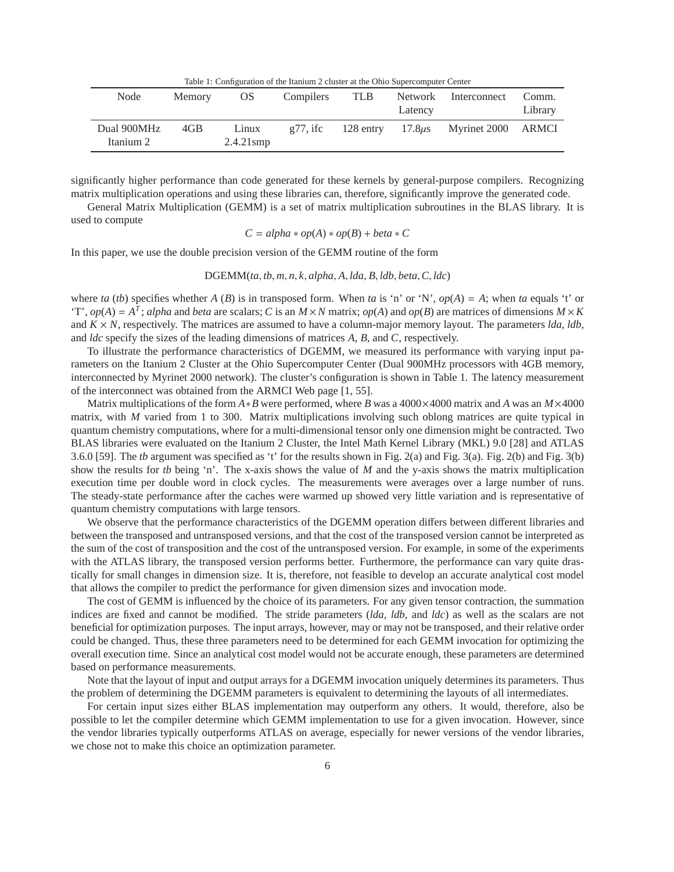Table 1: Configuration of the Itanium 2 cluster at the Ohio Supercomputer Center

| Node                     | Memory | <b>OS</b>             | Compilers   | <b>TLB</b> | Latency | Network Interconnect                     | Comm.<br>Library |
|--------------------------|--------|-----------------------|-------------|------------|---------|------------------------------------------|------------------|
| Dual 900MHz<br>Itanium 2 | 4GB    | Linux<br>$2.4.21$ smp | $g77$ , ifc |            |         | 128 entry $17.8\mu s$ Myrinet 2000 ARMCI |                  |

significantly higher performance than code generated for these kernels by general-purpose compilers. Recognizing matrix multiplication operations and using these libraries can, therefore, significantly improve the generated code.

General Matrix Multiplication (GEMM) is a set of matrix multiplication subroutines in the BLAS library. It is

 $C = alpha * op(A) * op(B) + beta * C$ 

In this paper, we use the double precision version of the GEMM routine of the form

used to compute

DGEMM(*ta*, *tb*, *m*, *n*, *k*, *alpha*, *A*, *lda*, *B*, *ldb*, *beta*,*C*, *ldc*)

where *ta* (*tb*) specifies whether *A* (*B*) is in transposed form. When *ta* is 'n' or 'N',  $op(A) = A$ ; when *ta* equals 't' or 'T',  $op(A) = A^T$ ; *alpha* and *beta* are scalars; *C* is an  $M \times N$  matrix;  $op(A)$  and  $op(B)$  are matrices of dimensions  $M \times K$ and  $K \times N$ , respectively. The matrices are assumed to have a column-major memory layout. The parameters *lda*, *ldb*, and *ldc* specify the sizes of the leading dimensions of matrices *A*, *B*, and *C*, respectively.

To illustrate the performance characteristics of DGEMM, we measured its performance with varying input parameters on the Itanium 2 Cluster at the Ohio Supercomputer Center (Dual 900MHz processors with 4GB memory, interconnected by Myrinet 2000 network). The cluster's configuration is shown in Table 1. The latency measurement of the interconnect was obtained from the ARMCI Web page [1, 55].

Matrix multiplications of the form *A*∗*B* were performed, where *B* was a 4000×4000 matrix and *A* was an *M*×4000 matrix, with *M* varied from 1 to 300. Matrix multiplications involving such oblong matrices are quite typical in quantum chemistry computations, where for a multi-dimensional tensor only one dimension might be contracted. Two BLAS libraries were evaluated on the Itanium 2 Cluster, the Intel Math Kernel Library (MKL) 9.0 [28] and ATLAS 3.6.0 [59]. The *tb* argument was specified as 't' for the results shown in Fig. 2(a) and Fig. 3(a). Fig. 2(b) and Fig. 3(b) show the results for *tb* being 'n'. The x-axis shows the value of *M* and the y-axis shows the matrix multiplication execution time per double word in clock cycles. The measurements were averages over a large number of runs. The steady-state performance after the caches were warmed up showed very little variation and is representative of quantum chemistry computations with large tensors.

We observe that the performance characteristics of the DGEMM operation differs between different libraries and between the transposed and untransposed versions, and that the cost of the transposed version cannot be interpreted as the sum of the cost of transposition and the cost of the untransposed version. For example, in some of the experiments with the ATLAS library, the transposed version performs better. Furthermore, the performance can vary quite drastically for small changes in dimension size. It is, therefore, not feasible to develop an accurate analytical cost model that allows the compiler to predict the performance for given dimension sizes and invocation mode.

The cost of GEMM is influenced by the choice of its parameters. For any given tensor contraction, the summation indices are fixed and cannot be modified. The stride parameters (*lda*, *ldb*, and *ldc*) as well as the scalars are not beneficial for optimization purposes. The input arrays, however, may or may not be transposed, and their relative order could be changed. Thus, these three parameters need to be determined for each GEMM invocation for optimizing the overall execution time. Since an analytical cost model would not be accurate enough, these parameters are determined based on performance measurements.

Note that the layout of input and output arrays for a DGEMM invocation uniquely determines its parameters. Thus the problem of determining the DGEMM parameters is equivalent to determining the layouts of all intermediates.

For certain input sizes either BLAS implementation may outperform any others. It would, therefore, also be possible to let the compiler determine which GEMM implementation to use for a given invocation. However, since the vendor libraries typically outperforms ATLAS on average, especially for newer versions of the vendor libraries, we chose not to make this choice an optimization parameter.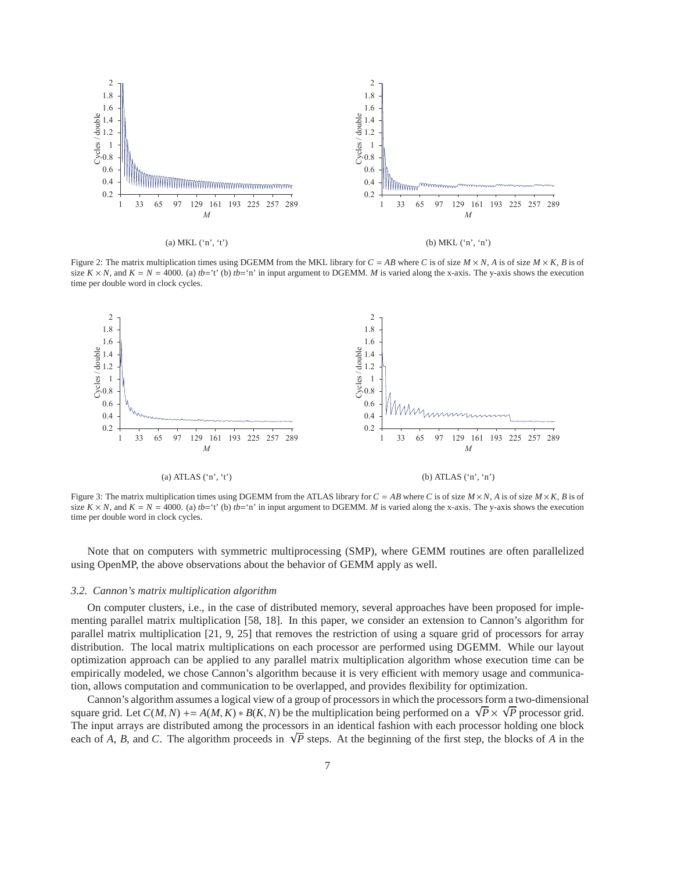

(a) MKL ('n', 't')

(b) MKL ('n', 'n')





Figure 3: The matrix multiplication times using DGEMM from the ATLAS library for  $C = AB$  where  $C$  is of size  $M \times N$ ,  $A$  is of size  $M \times K$ ,  $B$  is of size  $K \times N$ , and  $K = N = 4000$ . (a)  $tb = 't'$  (b)  $tb = 'n'$  in input argument to DGEMM. *M* is varied along the x-axis. The y-axis shows the execution time per double word in clock cycles.

Note that on computers with symmetric multiprocessing (SMP), where GEMM routines are often parallelized using OpenMP, the above observations about the behavior of GEMM apply as well.

#### *3.2. Cannon's matrix multiplication algorithm*

On computer clusters, i.e., in the case of distributed memory, several approaches have been proposed for implementing parallel matrix multiplication [58, 18]. In this paper, we consider an extension to Cannon's algorithm for parallel matrix multiplication [21, 9, 25] that removes the restriction of using a square grid of processors for array distribution. The local matrix multiplications on each processor are performed using DGEMM. While our layout optimization approach can be applied to any parallel matrix multiplication algorithm whose execution time can be empirically modeled, we chose Cannon's algorithm because it is very efficient with memory usage and communication, allows computation and communication to be overlapped, and provides flexibility for optimization.

Cannon's algorithm assumes a logical view of a group of processors in which the processors form a two-dimensional square grid. Let  $C(M, N)$  + =  $A(M, K) * B(K, N)$  be the multiplication being performed on a  $\sqrt{P} \times \sqrt{P}$  processor grid. The input arrays are distributed among the processors in an identical fashion with each processor holding one block each of *A*, *B*, and *C*. The algorithm proceeds in  $\sqrt{P}$  steps. At the beginning of the first step, the blocks of *A* in the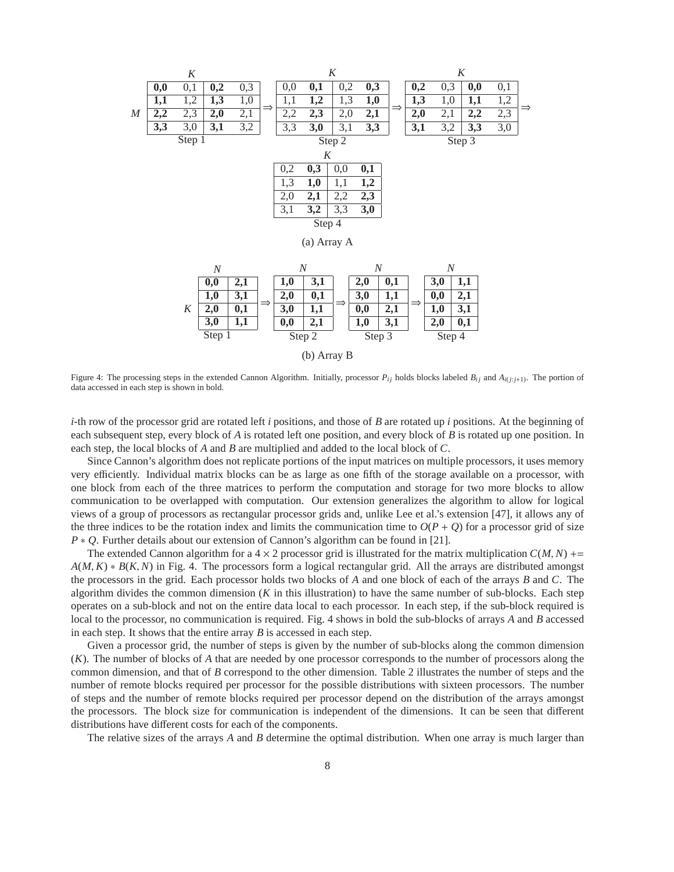

Figure 4: The processing steps in the extended Cannon Algorithm. Initially, processor  $P_{ij}$  holds blocks labeled  $B_{ij}$  and  $A_{i(i,j+1)}$ . The portion of data accessed in each step is shown in bold.

*i*-th row of the processor grid are rotated left *i* positions, and those of *B* are rotated up *i* positions. At the beginning of each subsequent step, every block of *A* is rotated left one position, and every block of *B* is rotated up one position. In each step, the local blocks of *A* and *B* are multiplied and added to the local block of *C*.

Since Cannon's algorithm does not replicate portions of the input matrices on multiple processors, it uses memory very efficiently. Individual matrix blocks can be as large as one fifth of the storage available on a processor, with one block from each of the three matrices to perform the computation and storage for two more blocks to allow communication to be overlapped with computation. Our extension generalizes the algorithm to allow for logical views of a group of processors as rectangular processor grids and, unlike Lee et al.'s extension [47], it allows any of the three indices to be the rotation index and limits the communication time to  $O(P + Q)$  for a processor grid of size *P* ∗ *Q*. Further details about our extension of Cannon's algorithm can be found in [21].

The extended Cannon algorithm for a  $4 \times 2$  processor grid is illustrated for the matrix multiplication  $C(M, N)$  += *A*(*M*, *K*) ∗ *B*(*K*, *N*) in Fig. 4. The processors form a logical rectangular grid. All the arrays are distributed amongst the processors in the grid. Each processor holds two blocks of *A* and one block of each of the arrays *B* and *C*. The algorithm divides the common dimension (*K* in this illustration) to have the same number of sub-blocks. Each step operates on a sub-block and not on the entire data local to each processor. In each step, if the sub-block required is local to the processor, no communication is required. Fig. 4 shows in bold the sub-blocks of arrays *A* and *B* accessed in each step. It shows that the entire array *B* is accessed in each step.

Given a processor grid, the number of steps is given by the number of sub-blocks along the common dimension (*K*). The number of blocks of *A* that are needed by one processor corresponds to the number of processors along the common dimension, and that of *B* correspond to the other dimension. Table 2 illustrates the number of steps and the number of remote blocks required per processor for the possible distributions with sixteen processors. The number of steps and the number of remote blocks required per processor depend on the distribution of the arrays amongst the processors. The block size for communication is independent of the dimensions. It can be seen that different distributions have different costs for each of the components.

The relative sizes of the arrays *A* and *B* determine the optimal distribution. When one array is much larger than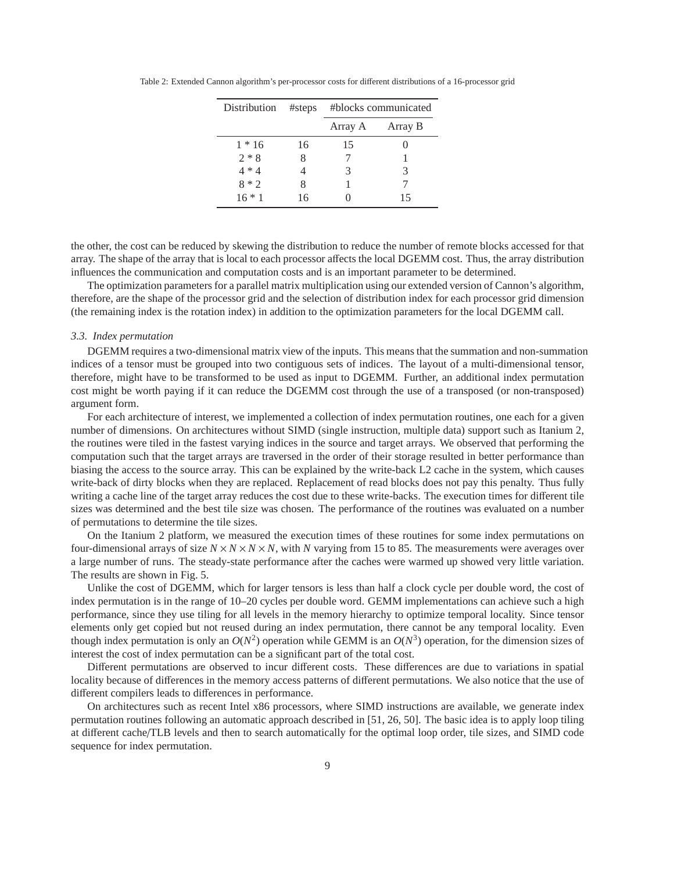| Distribution | # steps | #blocks communicated |         |  |
|--------------|---------|----------------------|---------|--|
|              |         | Array A              | Array B |  |
| $1 * 16$     | 16      | 15                   |         |  |
| $2 * 8$      | 8       |                      |         |  |
| $4 * 4$      |         | 3                    | 3       |  |
| $8 * 2$      |         |                      |         |  |
| $16 * 1$     | 16      |                      | ר ו     |  |

Table 2: Extended Cannon algorithm's per-processor costs for different distributions of a 16-processor grid

the other, the cost can be reduced by skewing the distribution to reduce the number of remote blocks accessed for that array. The shape of the array that is local to each processor affects the local DGEMM cost. Thus, the array distribution influences the communication and computation costs and is an important parameter to be determined.

The optimization parameters for a parallel matrix multiplication using our extended version of Cannon's algorithm, therefore, are the shape of the processor grid and the selection of distribution index for each processor grid dimension (the remaining index is the rotation index) in addition to the optimization parameters for the local DGEMM call.

## *3.3. Index permutation*

DGEMM requires a two-dimensional matrix view of the inputs. This means that the summation and non-summation indices of a tensor must be grouped into two contiguous sets of indices. The layout of a multi-dimensional tensor, therefore, might have to be transformed to be used as input to DGEMM. Further, an additional index permutation cost might be worth paying if it can reduce the DGEMM cost through the use of a transposed (or non-transposed) argument form.

For each architecture of interest, we implemented a collection of index permutation routines, one each for a given number of dimensions. On architectures without SIMD (single instruction, multiple data) support such as Itanium 2, the routines were tiled in the fastest varying indices in the source and target arrays. We observed that performing the computation such that the target arrays are traversed in the order of their storage resulted in better performance than biasing the access to the source array. This can be explained by the write-back L2 cache in the system, which causes write-back of dirty blocks when they are replaced. Replacement of read blocks does not pay this penalty. Thus fully writing a cache line of the target array reduces the cost due to these write-backs. The execution times for different tile sizes was determined and the best tile size was chosen. The performance of the routines was evaluated on a number of permutations to determine the tile sizes.

On the Itanium 2 platform, we measured the execution times of these routines for some index permutations on four-dimensional arrays of size  $N \times N \times N \times N$ , with *N* varying from 15 to 85. The measurements were averages over a large number of runs. The steady-state performance after the caches were warmed up showed very little variation. The results are shown in Fig. 5.

Unlike the cost of DGEMM, which for larger tensors is less than half a clock cycle per double word, the cost of index permutation is in the range of 10–20 cycles per double word. GEMM implementations can achieve such a high performance, since they use tiling for all levels in the memory hierarchy to optimize temporal locality. Since tensor elements only get copied but not reused during an index permutation, there cannot be any temporal locality. Even though index permutation is only an  $O(N^2)$  operation while GEMM is an  $O(N^3)$  operation, for the dimension sizes of interest the cost of index permutation can be a significant part of the total cost.

Different permutations are observed to incur different costs. These differences are due to variations in spatial locality because of differences in the memory access patterns of different permutations. We also notice that the use of different compilers leads to differences in performance.

On architectures such as recent Intel x86 processors, where SIMD instructions are available, we generate index permutation routines following an automatic approach described in [51, 26, 50]. The basic idea is to apply loop tiling at different cache/TLB levels and then to search automatically for the optimal loop order, tile sizes, and SIMD code sequence for index permutation.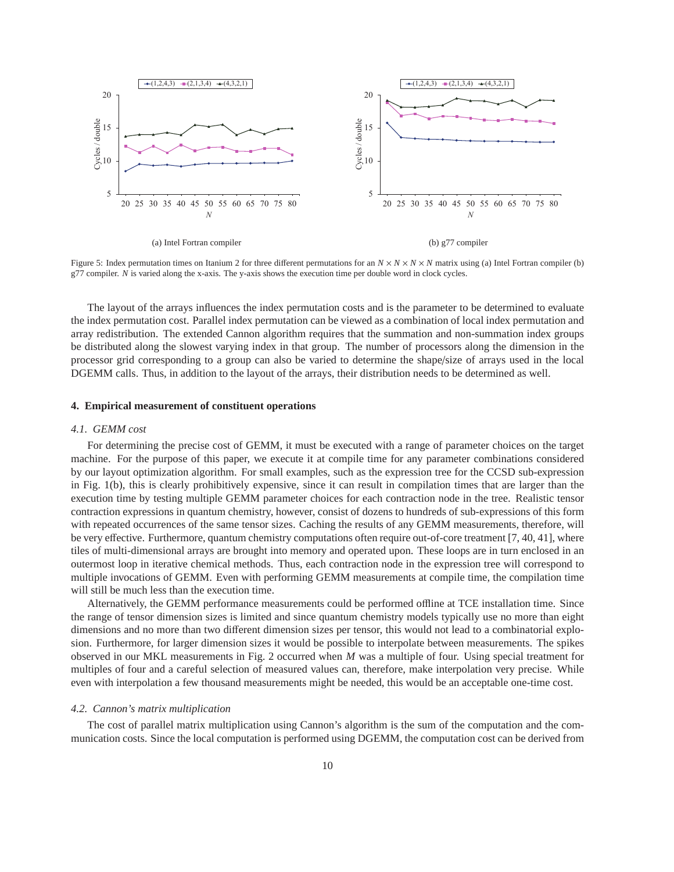

Figure 5: Index permutation times on Itanium 2 for three different permutations for an  $N \times N \times N$  matrix using (a) Intel Fortran compiler (b) g77 compiler. *N* is varied along the x-axis. The y-axis shows the execution time per double word in clock cycles.

The layout of the arrays influences the index permutation costs and is the parameter to be determined to evaluate the index permutation cost. Parallel index permutation can be viewed as a combination of local index permutation and array redistribution. The extended Cannon algorithm requires that the summation and non-summation index groups be distributed along the slowest varying index in that group. The number of processors along the dimension in the processor grid corresponding to a group can also be varied to determine the shape/size of arrays used in the local DGEMM calls. Thus, in addition to the layout of the arrays, their distribution needs to be determined as well.

#### **4. Empirical measurement of constituent operations**

# *4.1. GEMM cost*

For determining the precise cost of GEMM, it must be executed with a range of parameter choices on the target machine. For the purpose of this paper, we execute it at compile time for any parameter combinations considered by our layout optimization algorithm. For small examples, such as the expression tree for the CCSD sub-expression in Fig. 1(b), this is clearly prohibitively expensive, since it can result in compilation times that are larger than the execution time by testing multiple GEMM parameter choices for each contraction node in the tree. Realistic tensor contraction expressions in quantum chemistry, however, consist of dozens to hundreds of sub-expressions of this form with repeated occurrences of the same tensor sizes. Caching the results of any GEMM measurements, therefore, will be very effective. Furthermore, quantum chemistry computations often require out-of-core treatment [7, 40, 41], where tiles of multi-dimensional arrays are brought into memory and operated upon. These loops are in turn enclosed in an outermost loop in iterative chemical methods. Thus, each contraction node in the expression tree will correspond to multiple invocations of GEMM. Even with performing GEMM measurements at compile time, the compilation time will still be much less than the execution time.

Alternatively, the GEMM performance measurements could be performed offline at TCE installation time. Since the range of tensor dimension sizes is limited and since quantum chemistry models typically use no more than eight dimensions and no more than two different dimension sizes per tensor, this would not lead to a combinatorial explosion. Furthermore, for larger dimension sizes it would be possible to interpolate between measurements. The spikes observed in our MKL measurements in Fig. 2 occurred when *M* was a multiple of four. Using special treatment for multiples of four and a careful selection of measured values can, therefore, make interpolation very precise. While even with interpolation a few thousand measurements might be needed, this would be an acceptable one-time cost.

# *4.2. Cannon's matrix multiplication*

The cost of parallel matrix multiplication using Cannon's algorithm is the sum of the computation and the communication costs. Since the local computation is performed using DGEMM, the computation cost can be derived from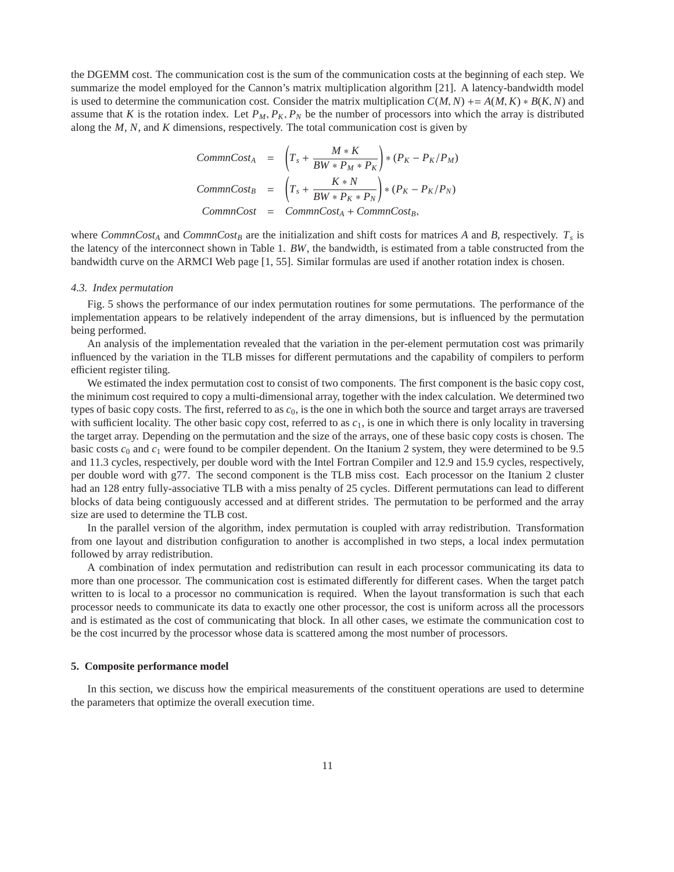the DGEMM cost. The communication cost is the sum of the communication costs at the beginning of each step. We summarize the model employed for the Cannon's matrix multiplication algorithm [21]. A latency-bandwidth model is used to determine the communication cost. Consider the matrix multiplication  $C(M, N) = A(M, K) * B(K, N)$  and assume that *K* is the rotation index. Let  $P_M$ ,  $P_K$ ,  $P_N$  be the number of processors into which the array is distributed along the *M*, *N*, and *K* dimensions, respectively. The total communication cost is given by

$$
CommonCost_A = \left(T_s + \frac{M*K}{BW * P_M * P_K}\right) * (P_K - P_K / P_M)
$$
  
\n
$$
CommonCost_B = \left(T_s + \frac{K*N}{BW * P_K * P_N}\right) * (P_K - P_K / P_N)
$$
  
\n
$$
CommonCost = CommonCost_A + CommonCost_B,
$$

where *CommnCost<sup>A</sup>* and *CommnCost<sup>B</sup>* are the initialization and shift costs for matrices *A* and *B*, respectively. *T<sup>s</sup>* is the latency of the interconnect shown in Table 1. *BW*, the bandwidth, is estimated from a table constructed from the bandwidth curve on the ARMCI Web page [1, 55]. Similar formulas are used if another rotation index is chosen.

# *4.3. Index permutation*

Fig. 5 shows the performance of our index permutation routines for some permutations. The performance of the implementation appears to be relatively independent of the array dimensions, but is influenced by the permutation being performed.

An analysis of the implementation revealed that the variation in the per-element permutation cost was primarily influenced by the variation in the TLB misses for different permutations and the capability of compilers to perform efficient register tiling.

We estimated the index permutation cost to consist of two components. The first component is the basic copy cost, the minimum cost required to copy a multi-dimensional array, together with the index calculation. We determined two types of basic copy costs. The first, referred to as  $c<sub>0</sub>$ , is the one in which both the source and target arrays are traversed with sufficient locality. The other basic copy cost, referred to as  $c<sub>1</sub>$ , is one in which there is only locality in traversing the target array. Depending on the permutation and the size of the arrays, one of these basic copy costs is chosen. The basic costs  $c_0$  and  $c_1$  were found to be compiler dependent. On the Itanium 2 system, they were determined to be 9.5 and 11.3 cycles, respectively, per double word with the Intel Fortran Compiler and 12.9 and 15.9 cycles, respectively, per double word with g77. The second component is the TLB miss cost. Each processor on the Itanium 2 cluster had an 128 entry fully-associative TLB with a miss penalty of 25 cycles. Different permutations can lead to different blocks of data being contiguously accessed and at different strides. The permutation to be performed and the array size are used to determine the TLB cost.

In the parallel version of the algorithm, index permutation is coupled with array redistribution. Transformation from one layout and distribution configuration to another is accomplished in two steps, a local index permutation followed by array redistribution.

A combination of index permutation and redistribution can result in each processor communicating its data to more than one processor. The communication cost is estimated differently for different cases. When the target patch written to is local to a processor no communication is required. When the layout transformation is such that each processor needs to communicate its data to exactly one other processor, the cost is uniform across all the processors and is estimated as the cost of communicating that block. In all other cases, we estimate the communication cost to be the cost incurred by the processor whose data is scattered among the most number of processors.

# **5. Composite performance model**

In this section, we discuss how the empirical measurements of the constituent operations are used to determine the parameters that optimize the overall execution time.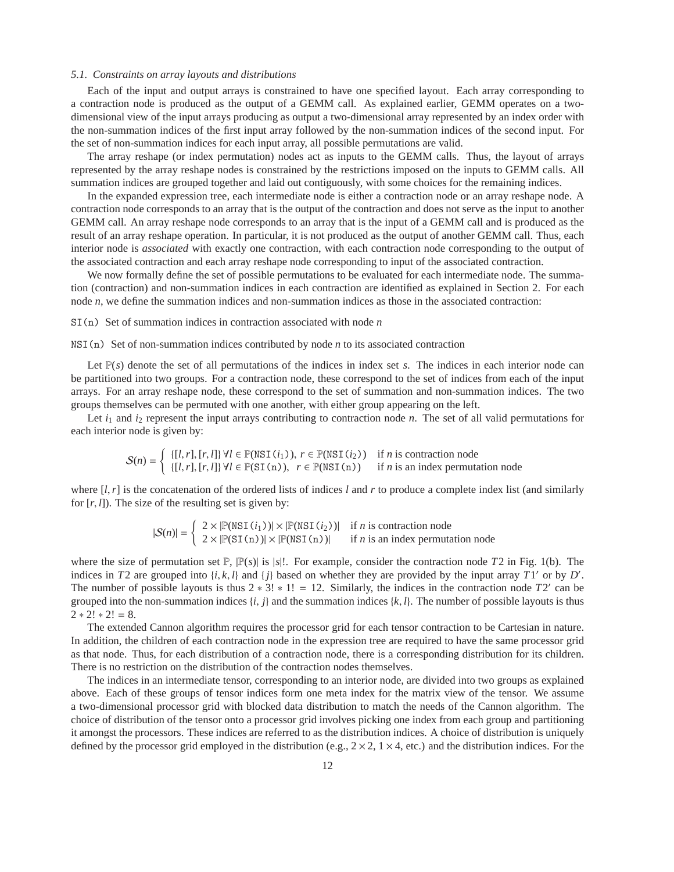# *5.1. Constraints on array layouts and distributions*

Each of the input and output arrays is constrained to have one specified layout. Each array corresponding to a contraction node is produced as the output of a GEMM call. As explained earlier, GEMM operates on a twodimensional view of the input arrays producing as output a two-dimensional array represented by an index order with the non-summation indices of the first input array followed by the non-summation indices of the second input. For the set of non-summation indices for each input array, all possible permutations are valid.

The array reshape (or index permutation) nodes act as inputs to the GEMM calls. Thus, the layout of arrays represented by the array reshape nodes is constrained by the restrictions imposed on the inputs to GEMM calls. All summation indices are grouped together and laid out contiguously, with some choices for the remaining indices.

In the expanded expression tree, each intermediate node is either a contraction node or an array reshape node. A contraction node corresponds to an array that is the output of the contraction and does not serve as the input to another GEMM call. An array reshape node corresponds to an array that is the input of a GEMM call and is produced as the result of an array reshape operation. In particular, it is not produced as the output of another GEMM call. Thus, each interior node is *associated* with exactly one contraction, with each contraction node corresponding to the output of the associated contraction and each array reshape node corresponding to input of the associated contraction.

We now formally define the set of possible permutations to be evaluated for each intermediate node. The summation (contraction) and non-summation indices in each contraction are identified as explained in Section 2. For each node *n*, we define the summation indices and non-summation indices as those in the associated contraction:

SI(n) Set of summation indices in contraction associated with node *n*

NSI(n) Set of non-summation indices contributed by node *n* to its associated contraction

Let  $\mathbb{P}(s)$  denote the set of all permutations of the indices in index set *s*. The indices in each interior node can be partitioned into two groups. For a contraction node, these correspond to the set of indices from each of the input arrays. For an array reshape node, these correspond to the set of summation and non-summation indices. The two groups themselves can be permuted with one another, with either group appearing on the left.

Let  $i_1$  and  $i_2$  represent the input arrays contributing to contraction node  $n$ . The set of all valid permutations for each interior node is given by:

> $S(n) = \begin{cases} \{[l, r], [r, l]\} \forall l \in \mathbb{P}(\text{NSI}(i_1)), r \in \mathbb{P}(\text{NSI}(i_2)) & \text{if } n \text{ is contraction node} \\ \{[l, r], [r, l]\} \forall l \in \mathbb{P}(\text{SI}(n)). & r \in \mathbb{P}(\text{NSI}(n)) & \text{if } n \text{ is an index permute} \end{cases}$  $\{[l, r], [r, l]\} \forall l \in \mathbb{P}(\text{SI(n)}), r \in \mathbb{P}(\text{NSI(n)})$  if *n* is an index permutation node

where  $[l, r]$  is the concatenation of the ordered lists of indices  $l$  and  $r$  to produce a complete index list (and similarly for  $[r, l]$ ). The size of the resulting set is given by:

> $|S(n)| = \begin{cases} 2 \times |\mathbb{P}(NSI(i_1))| \times |\mathbb{P}(NSI(i_2))| & \text{if } n \text{ is contraction node} \\ 2 \times |\mathbb{P}(SI(n))| \times |\mathbb{P}(NSI(n))| & \text{if } n \text{ is an index permute} \end{cases}$  $2 \times |\mathbb{P}(\text{SI(n)})| \times |\mathbb{P}(\text{NSI(n)})|$  if *n* is an index permutation node

where the size of permutation set  $\mathbb{P}, |\mathbb{P}(s)|$  is |s|!. For example, consider the contraction node *T*2 in Fig. 1(b). The indices in *T*2 are grouped into  $\{i, k, l\}$  and  $\{j\}$  based on whether they are provided by the input array *T*1' or by *D'*. The number of possible layouts is thus  $2 \times 3! \times 1! = 12$ . Similarly, the indices in the contraction node  $T2'$  can be grouped into the non-summation indices  $\{i, j\}$  and the summation indices  $\{k, l\}$ . The number of possible layouts is thus  $2 * 2! * 2! = 8.$ 

The extended Cannon algorithm requires the processor grid for each tensor contraction to be Cartesian in nature. In addition, the children of each contraction node in the expression tree are required to have the same processor grid as that node. Thus, for each distribution of a contraction node, there is a corresponding distribution for its children. There is no restriction on the distribution of the contraction nodes themselves.

The indices in an intermediate tensor, corresponding to an interior node, are divided into two groups as explained above. Each of these groups of tensor indices form one meta index for the matrix view of the tensor. We assume a two-dimensional processor grid with blocked data distribution to match the needs of the Cannon algorithm. The choice of distribution of the tensor onto a processor grid involves picking one index from each group and partitioning it amongst the processors. These indices are referred to as the distribution indices. A choice of distribution is uniquely defined by the processor grid employed in the distribution (e.g.,  $2 \times 2$ ,  $1 \times 4$ , etc.) and the distribution indices. For the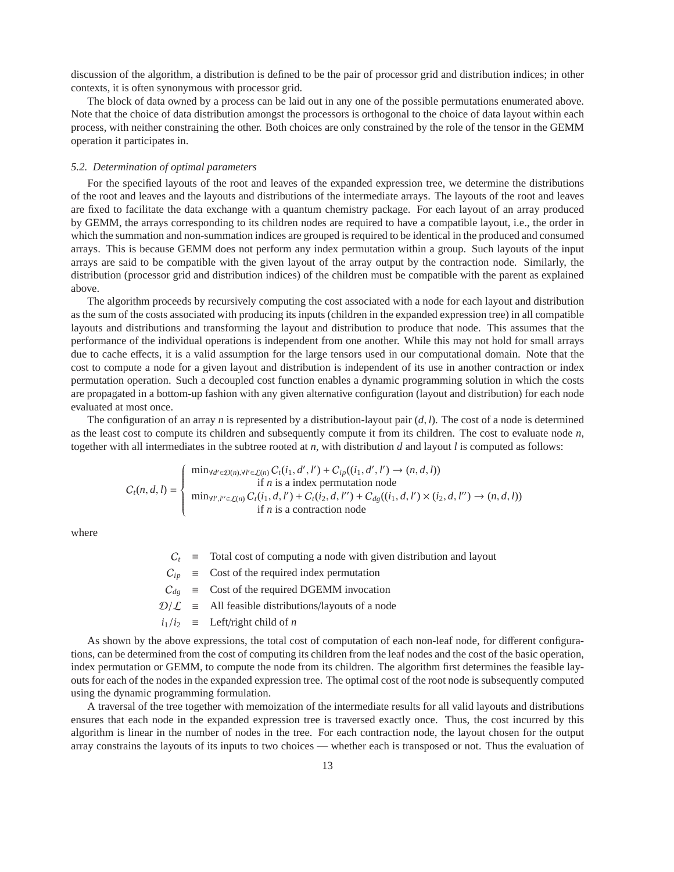discussion of the algorithm, a distribution is defined to be the pair of processor grid and distribution indices; in other contexts, it is often synonymous with processor grid.

The block of data owned by a process can be laid out in any one of the possible permutations enumerated above. Note that the choice of data distribution amongst the processors is orthogonal to the choice of data layout within each process, with neither constraining the other. Both choices are only constrained by the role of the tensor in the GEMM operation it participates in.

# *5.2. Determination of optimal parameters*

For the specified layouts of the root and leaves of the expanded expression tree, we determine the distributions of the root and leaves and the layouts and distributions of the intermediate arrays. The layouts of the root and leaves are fixed to facilitate the data exchange with a quantum chemistry package. For each layout of an array produced by GEMM, the arrays corresponding to its children nodes are required to have a compatible layout, i.e., the order in which the summation and non-summation indices are grouped is required to be identical in the produced and consumed arrays. This is because GEMM does not perform any index permutation within a group. Such layouts of the input arrays are said to be compatible with the given layout of the array output by the contraction node. Similarly, the distribution (processor grid and distribution indices) of the children must be compatible with the parent as explained above.

The algorithm proceeds by recursively computing the cost associated with a node for each layout and distribution as the sum of the costs associated with producing its inputs (children in the expanded expression tree) in all compatible layouts and distributions and transforming the layout and distribution to produce that node. This assumes that the performance of the individual operations is independent from one another. While this may not hold for small arrays due to cache effects, it is a valid assumption for the large tensors used in our computational domain. Note that the cost to compute a node for a given layout and distribution is independent of its use in another contraction or index permutation operation. Such a decoupled cost function enables a dynamic programming solution in which the costs are propagated in a bottom-up fashion with any given alternative configuration (layout and distribution) for each node evaluated at most once.

The configuration of an array *n* is represented by a distribution-layout pair  $(d, l)$ . The cost of a node is determined as the least cost to compute its children and subsequently compute it from its children. The cost to evaluate node *n*, together with all intermediates in the subtree rooted at *n*, with distribution *d* and layout *l* is computed as follows:

$$
C_t(n,d,l) = \begin{cases} \min_{\forall d' \in \mathcal{D}(n), \forall l' \in \mathcal{L}(n)} C_t(i_1, d', l') + C_{ip}((i_1, d', l') \rightarrow (n, d, l)) \\ \text{if } n \text{ is a index permutation node} \\ \min_{\forall l', l'' \in \mathcal{L}(n)} C_t(i_1, d, l') + C_t(i_2, d, l'') + C_{dg}((i_1, d, l') \times (i_2, d, l'') \rightarrow (n, d, l)) \\ \text{if } n \text{ is a contraction node} \end{cases}
$$

where

$$
C_t
$$
 = Total cost of computing a node with given distribution and layout

 $C_{ip}$  ≡ Cost of the required index permutation

 $C_{dg}$  = Cost of the required DGEMM invocation

 $D/L$  = All feasible distributions/layouts of a node

$$
i_1/i_2 \equiv
$$
 Left/right child of *n*

As shown by the above expressions, the total cost of computation of each non-leaf node, for different configurations, can be determined from the cost of computing its children from the leaf nodes and the cost of the basic operation, index permutation or GEMM, to compute the node from its children. The algorithm first determines the feasible layouts for each of the nodes in the expanded expression tree. The optimal cost of the root node is subsequently computed using the dynamic programming formulation.

A traversal of the tree together with memoization of the intermediate results for all valid layouts and distributions ensures that each node in the expanded expression tree is traversed exactly once. Thus, the cost incurred by this algorithm is linear in the number of nodes in the tree. For each contraction node, the layout chosen for the output array constrains the layouts of its inputs to two choices — whether each is transposed or not. Thus the evaluation of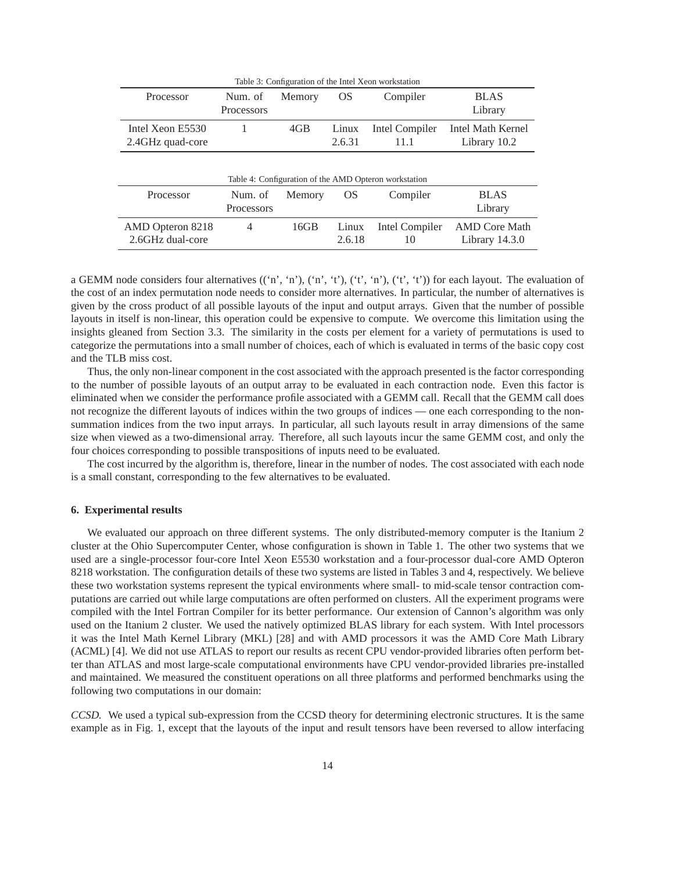|                                                       | Table 3: Configuration of the Intel Xeon workstation |        |                |                |                      |  |  |  |
|-------------------------------------------------------|------------------------------------------------------|--------|----------------|----------------|----------------------|--|--|--|
| Processor                                             | Num. of                                              | Memory | Compiler<br>OS |                | <b>BLAS</b>          |  |  |  |
|                                                       | <b>Processors</b>                                    |        |                |                | Library              |  |  |  |
| Intel Xeon E5530                                      |                                                      | 4GB    | Linux          | Intel Compiler | Intel Math Kernel    |  |  |  |
| 2.4GHz quad-core                                      |                                                      |        | 2.6.31         | 11.1           | Library 10.2         |  |  |  |
| Table 4: Configuration of the AMD Opteron workstation |                                                      |        |                |                |                      |  |  |  |
| Processor                                             | Num. of                                              | Memory | <sub>OS</sub>  | Compiler       | <b>BLAS</b>          |  |  |  |
|                                                       | Processors                                           |        |                |                | Library              |  |  |  |
| AMD Opteron 8218                                      | 4                                                    | 16GB   | Linux          | Intel Compiler | <b>AMD</b> Core Math |  |  |  |
| 2.6GHz dual-core                                      |                                                      |        | 2.6.18         | 10             | Library $14.3.0$     |  |  |  |

a GEMM node considers four alternatives  $((n, 'n'), (n', 't'), (t', 'n'), (t', 't'))$  for each layout. The evaluation of the cost of an index permutation node needs to consider more alternatives. In particular, the number of alternatives is given by the cross product of all possible layouts of the input and output arrays. Given that the number of possible layouts in itself is non-linear, this operation could be expensive to compute. We overcome this limitation using the insights gleaned from Section 3.3. The similarity in the costs per element for a variety of permutations is used to categorize the permutations into a small number of choices, each of which is evaluated in terms of the basic copy cost and the TLB miss cost.

Thus, the only non-linear component in the cost associated with the approach presented is the factor corresponding to the number of possible layouts of an output array to be evaluated in each contraction node. Even this factor is eliminated when we consider the performance profile associated with a GEMM call. Recall that the GEMM call does not recognize the different layouts of indices within the two groups of indices — one each corresponding to the nonsummation indices from the two input arrays. In particular, all such layouts result in array dimensions of the same size when viewed as a two-dimensional array. Therefore, all such layouts incur the same GEMM cost, and only the four choices corresponding to possible transpositions of inputs need to be evaluated.

The cost incurred by the algorithm is, therefore, linear in the number of nodes. The cost associated with each node is a small constant, corresponding to the few alternatives to be evaluated.

### **6. Experimental results**

We evaluated our approach on three different systems. The only distributed-memory computer is the Itanium 2 cluster at the Ohio Supercomputer Center, whose configuration is shown in Table 1. The other two systems that we used are a single-processor four-core Intel Xeon E5530 workstation and a four-processor dual-core AMD Opteron 8218 workstation. The configuration details of these two systems are listed in Tables 3 and 4, respectively. We believe these two workstation systems represent the typical environments where small- to mid-scale tensor contraction computations are carried out while large computations are often performed on clusters. All the experiment programs were compiled with the Intel Fortran Compiler for its better performance. Our extension of Cannon's algorithm was only used on the Itanium 2 cluster. We used the natively optimized BLAS library for each system. With Intel processors it was the Intel Math Kernel Library (MKL) [28] and with AMD processors it was the AMD Core Math Library (ACML) [4]. We did not use ATLAS to report our results as recent CPU vendor-provided libraries often perform better than ATLAS and most large-scale computational environments have CPU vendor-provided libraries pre-installed and maintained. We measured the constituent operations on all three platforms and performed benchmarks using the following two computations in our domain:

*CCSD.* We used a typical sub-expression from the CCSD theory for determining electronic structures. It is the same example as in Fig. 1, except that the layouts of the input and result tensors have been reversed to allow interfacing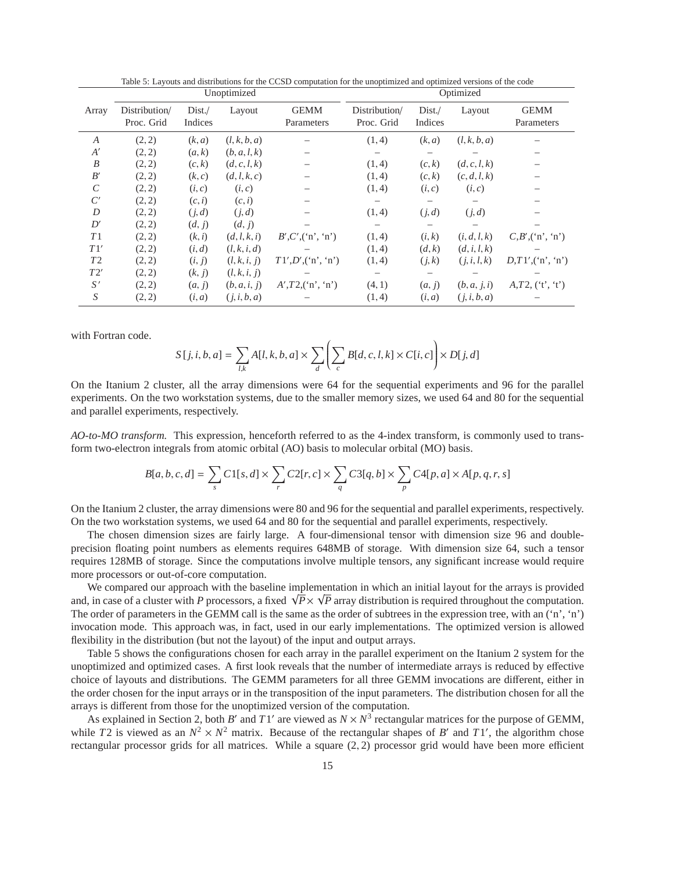|                       | Unoptimized                 |                    |              |                           | Optimized                   |                    |              |                           |
|-----------------------|-----------------------------|--------------------|--------------|---------------------------|-----------------------------|--------------------|--------------|---------------------------|
| Array                 | Distribution/<br>Proc. Grid | Dist. /<br>Indices | Layout       | <b>GEMM</b><br>Parameters | Distribution/<br>Proc. Grid | Dist. /<br>Indices | Layout       | <b>GEMM</b><br>Parameters |
| A                     | (2, 2)                      | (k, a)             | (l, k, b, a) |                           | (1, 4)                      | (k, a)             | (l, k, b, a) |                           |
| A'                    | (2, 2)                      | (a, k)             | (b, a, l, k) |                           |                             |                    |              |                           |
| $\boldsymbol{B}$      | (2, 2)                      | (c, k)             | (d,c,l,k)    |                           | (1, 4)                      | (c, k)             | (d, c, l, k) |                           |
| $B^\prime$            | (2, 2)                      | (k, c)             | (d, l, k, c) |                           | (1, 4)                      | (c, k)             | (c,d,l,k)    |                           |
| $\mathcal{C}_{0}^{0}$ | (2, 2)                      | (i, c)             | (i, c)       |                           | (1, 4)                      | (i, c)             | (i, c)       |                           |
| C'                    | (2, 2)                      | (c, i)             | (c, i)       |                           |                             |                    |              |                           |
| D                     | (2, 2)                      | (j,d)              | (j,d)        |                           | (1, 4)                      | (j, d)             | (j, d)       |                           |
| D'                    | (2, 2)                      | (d, j)             | (d, j)       |                           |                             |                    |              |                           |
| T1                    | (2, 2)                      | (k, i)             | (d, l, k, i) | B', C', 'n', 'n')         | (1, 4)                      | (i,k)              | (i, d, l, k) | C, B', 'n', 'n')          |
| T1'                   | (2, 2)                      | (i,d)              | (l, k, i, d) |                           | (1, 4)                      | (d, k)             | (d, i, l, k) |                           |
| T2                    | (2, 2)                      | (i, j)             | (l, k, i, j) | T1', D', 'n', 'n')        | (1, 4)                      | (j,k)              | (j, i, l, k) | D,T1', ('n', 'n')         |
| T2'                   | (2, 2)                      | (k, j)             | (l, k, i, j) |                           |                             |                    |              |                           |
| S'                    | (2, 2)                      | (a, j)             | (b, a, i, j) | $A', T2,$ ('n', 'n')      | (4, 1)                      | (a, j)             | (b, a, j, i) | A, T2, ('t', 't')         |
| $\boldsymbol{S}$      | (2, 2)                      | (i, a)             | (j, i, b, a) |                           | (1, 4)                      | (i, a)             | (j, i, b, a) |                           |

Table 5: Layouts and distributions for the CCSD computation for the unoptimized and optimized versions of the code

with Fortran code.

$$
S[j, i, b, a] = \sum_{l,k} A[l, k, b, a] \times \sum_{d} \left( \sum_{c} B[d, c, l, k] \times C[i, c] \right) \times D[j, d]
$$

On the Itanium 2 cluster, all the array dimensions were 64 for the sequential experiments and 96 for the parallel experiments. On the two workstation systems, due to the smaller memory sizes, we used 64 and 80 for the sequential and parallel experiments, respectively.

*AO-to-MO transform.* This expression, henceforth referred to as the 4-index transform, is commonly used to transform two-electron integrals from atomic orbital (AO) basis to molecular orbital (MO) basis.

$$
B[a,b,c,d] = \sum_{s} C1[s,d] \times \sum_{r} C2[r,c] \times \sum_{q} C3[q,b] \times \sum_{p} C4[p,a] \times A[p,q,r,s]
$$

On the Itanium 2 cluster, the array dimensions were 80 and 96 for the sequential and parallel experiments, respectively. On the two workstation systems, we used 64 and 80 for the sequential and parallel experiments, respectively.

The chosen dimension sizes are fairly large. A four-dimensional tensor with dimension size 96 and doubleprecision floating point numbers as elements requires 648MB of storage. With dimension size 64, such a tensor requires 128MB of storage. Since the computations involve multiple tensors, any significant increase would require more processors or out-of-core computation.

We compared our approach with the baseline implementation in which an initial layout for the arrays is provided and, in case of a cluster with *P* processors, a fixed  $\sqrt{P} \times \sqrt{P}$  array distribution is required throughout the computation. The order of parameters in the GEMM call is the same as the order of subtrees in the expression tree, with an ('n', 'n') invocation mode. This approach was, in fact, used in our early implementations. The optimized version is allowed flexibility in the distribution (but not the layout) of the input and output arrays.

Table 5 shows the configurations chosen for each array in the parallel experiment on the Itanium 2 system for the unoptimized and optimized cases. A first look reveals that the number of intermediate arrays is reduced by effective choice of layouts and distributions. The GEMM parameters for all three GEMM invocations are different, either in the order chosen for the input arrays or in the transposition of the input parameters. The distribution chosen for all the arrays is different from those for the unoptimized version of the computation.

As explained in Section 2, both *B'* and *T*1' are viewed as  $N \times N^3$  rectangular matrices for the purpose of GEMM, while *T*2 is viewed as an  $N^2 \times N^2$  matrix. Because of the rectangular shapes of *B'* and *T*1', the algorithm chose rectangular processor grids for all matrices. While a square (2, 2) processor grid would have been more efficient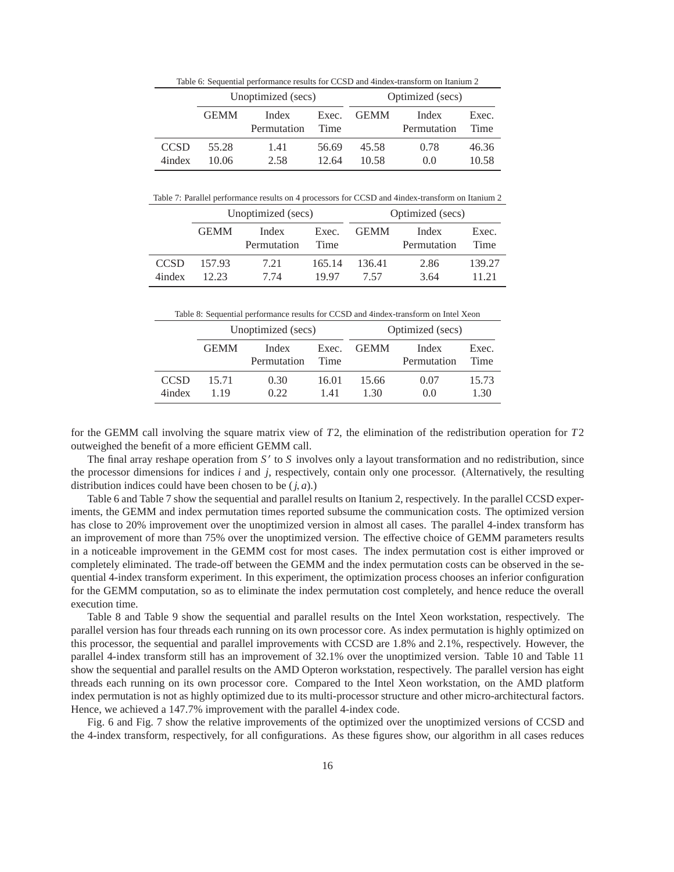Table 6: Sequential performance results for CCSD and 4index-transform on Itanium 2

|                       | Unoptimized (secs) |                      |                | Optimized (secs) |                      |                |
|-----------------------|--------------------|----------------------|----------------|------------------|----------------------|----------------|
|                       | <b>GEMM</b>        | Index<br>Permutation | Exec.<br>Time  | <b>GEMM</b>      | Index<br>Permutation | Exec.<br>Time  |
| <b>CCSD</b><br>4index | 55.28<br>10.06     | 1.41<br>2.58         | 56.69<br>12.64 | 45.58<br>10.58   | 0.78<br>(0.0)        | 46.36<br>10.58 |

Table 7: Parallel performance results on 4 processors for CCSD and 4index-transform on Itanium 2

|                       |                 | Unoptimized (secs)   |                 | Optimized (secs) |                      |                 |  |
|-----------------------|-----------------|----------------------|-----------------|------------------|----------------------|-----------------|--|
|                       | <b>GEMM</b>     | Index<br>Permutation | Exec.<br>Time   | <b>GEMM</b>      | Index<br>Permutation | Exec.<br>Time   |  |
| <b>CCSD</b><br>4index | 157.93<br>12.23 | 7.21<br>7 74         | 165.14<br>19.97 | 136.41<br>7.57   | 2.86<br>3.64         | 139.27<br>11 21 |  |

Table 8: Sequential performance results for CCSD and 4index-transform on Intel Xeon

|                       |              | Unoptimized (secs)   |               | Optimized (secs) |                      |               |
|-----------------------|--------------|----------------------|---------------|------------------|----------------------|---------------|
|                       | <b>GEMM</b>  | Index<br>Permutation | Exec.<br>Time | <b>GEMM</b>      | Index<br>Permutation | Exec.<br>Time |
| <b>CCSD</b><br>4index | 15.71<br>119 | 0.30<br>0.22         | 16.01<br>141  | 15.66<br>1 30    | 0.07<br>(0.0)        | 15.73<br>1.30 |

for the GEMM call involving the square matrix view of *T*2, the elimination of the redistribution operation for *T*2 outweighed the benefit of a more efficient GEMM call.

The final array reshape operation from  $S'$  to  $S$  involves only a layout transformation and no redistribution, since the processor dimensions for indices *i* and *j*, respectively, contain only one processor. (Alternatively, the resulting distribution indices could have been chosen to be  $(j, a)$ .)

Table 6 and Table 7 show the sequential and parallel results on Itanium 2, respectively. In the parallel CCSD experiments, the GEMM and index permutation times reported subsume the communication costs. The optimized version has close to 20% improvement over the unoptimized version in almost all cases. The parallel 4-index transform has an improvement of more than 75% over the unoptimized version. The effective choice of GEMM parameters results in a noticeable improvement in the GEMM cost for most cases. The index permutation cost is either improved or completely eliminated. The trade-off between the GEMM and the index permutation costs can be observed in the sequential 4-index transform experiment. In this experiment, the optimization process chooses an inferior configuration for the GEMM computation, so as to eliminate the index permutation cost completely, and hence reduce the overall execution time.

Table 8 and Table 9 show the sequential and parallel results on the Intel Xeon workstation, respectively. The parallel version has four threads each running on its own processor core. As index permutation is highly optimized on this processor, the sequential and parallel improvements with CCSD are 1.8% and 2.1%, respectively. However, the parallel 4-index transform still has an improvement of 32.1% over the unoptimized version. Table 10 and Table 11 show the sequential and parallel results on the AMD Opteron workstation, respectively. The parallel version has eight threads each running on its own processor core. Compared to the Intel Xeon workstation, on the AMD platform index permutation is not as highly optimized due to its multi-processor structure and other micro-architectural factors. Hence, we achieved a 147.7% improvement with the parallel 4-index code.

Fig. 6 and Fig. 7 show the relative improvements of the optimized over the unoptimized versions of CCSD and the 4-index transform, respectively, for all configurations. As these figures show, our algorithm in all cases reduces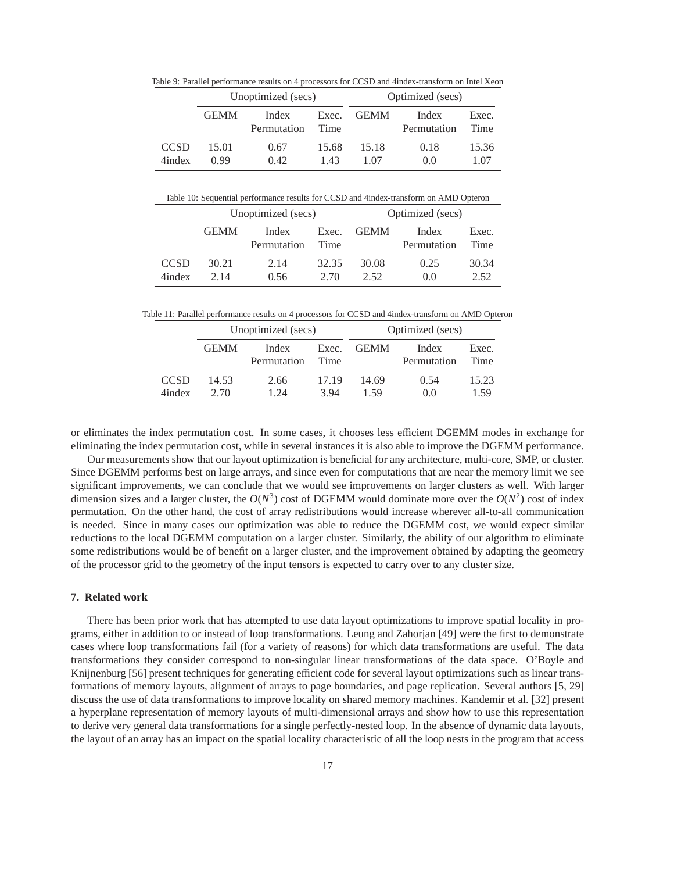Table 9: Parallel performance results on 4 processors for CCSD and 4index-transform on Intel Xeon

|                       |               | Unoptimized (secs)   |               | Optimized (secs) |                      |               |  |
|-----------------------|---------------|----------------------|---------------|------------------|----------------------|---------------|--|
|                       | <b>GEMM</b>   | Index<br>Permutation | Exec.<br>Time | <b>GEMM</b>      | Index<br>Permutation | Exec.<br>Time |  |
| <b>CCSD</b><br>4index | 15.01<br>O 99 | 0.67<br>0.42         | 15.68<br>143  | 15.18<br>1.07    | 0.18<br>(0.0)        | 15.36<br>1.07 |  |

Table 10: Sequential performance results for CCSD and 4index-transform on AMD Opteron

|                       |               | Unoptimized (secs)   |               | Optimized (secs) |                      |               |
|-----------------------|---------------|----------------------|---------------|------------------|----------------------|---------------|
|                       | <b>GEMM</b>   | Index<br>Permutation | Exec.<br>Time | <b>GEMM</b>      | Index<br>Permutation | Exec.<br>Time |
| <b>CCSD</b><br>4index | 30.21<br>2.14 | 2.14<br>0.56         | 32.35<br>2.70 | 30.08<br>2.52    | 0.25<br>(0.0)        | 30.34<br>2.52 |

Table 11: Parallel performance results on 4 processors for CCSD and 4index-transform on AMD Opteron

|                       |               | Unoptimized (secs)   |               | Optimized (secs) |                      |               |
|-----------------------|---------------|----------------------|---------------|------------------|----------------------|---------------|
|                       | <b>GEMM</b>   | Index<br>Permutation | Exec.<br>Time | <b>GEMM</b>      | Index<br>Permutation | Exec.<br>Time |
| <b>CCSD</b><br>4index | 14.53<br>2.70 | 2.66<br>1 24         | 17.19<br>394  | 14.69<br>1.59    | 0.54<br>(0.0)        | 15.23<br>1.59 |

or eliminates the index permutation cost. In some cases, it chooses less efficient DGEMM modes in exchange for eliminating the index permutation cost, while in several instances it is also able to improve the DGEMM performance.

Our measurements show that our layout optimization is beneficial for any architecture, multi-core, SMP, or cluster. Since DGEMM performs best on large arrays, and since even for computations that are near the memory limit we see significant improvements, we can conclude that we would see improvements on larger clusters as well. With larger dimension sizes and a larger cluster, the  $O(N^3)$  cost of DGEMM would dominate more over the  $O(N^2)$  cost of index permutation. On the other hand, the cost of array redistributions would increase wherever all-to-all communication is needed. Since in many cases our optimization was able to reduce the DGEMM cost, we would expect similar reductions to the local DGEMM computation on a larger cluster. Similarly, the ability of our algorithm to eliminate some redistributions would be of benefit on a larger cluster, and the improvement obtained by adapting the geometry of the processor grid to the geometry of the input tensors is expected to carry over to any cluster size.

# **7. Related work**

There has been prior work that has attempted to use data layout optimizations to improve spatial locality in programs, either in addition to or instead of loop transformations. Leung and Zahorjan [49] were the first to demonstrate cases where loop transformations fail (for a variety of reasons) for which data transformations are useful. The data transformations they consider correspond to non-singular linear transformations of the data space. O'Boyle and Knijnenburg [56] present techniques for generating efficient code for several layout optimizations such as linear transformations of memory layouts, alignment of arrays to page boundaries, and page replication. Several authors [5, 29] discuss the use of data transformations to improve locality on shared memory machines. Kandemir et al. [32] present a hyperplane representation of memory layouts of multi-dimensional arrays and show how to use this representation to derive very general data transformations for a single perfectly-nested loop. In the absence of dynamic data layouts, the layout of an array has an impact on the spatial locality characteristic of all the loop nests in the program that access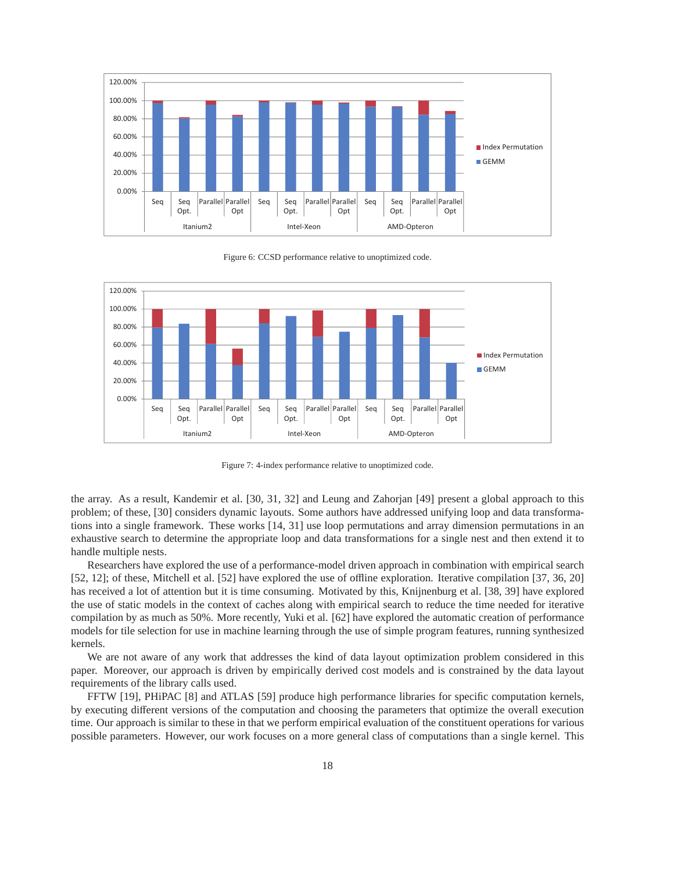

Figure 6: CCSD performance relative to unoptimized code.



Figure 7: 4-index performance relative to unoptimized code.

the array. As a result, Kandemir et al. [30, 31, 32] and Leung and Zahorjan [49] present a global approach to this problem; of these, [30] considers dynamic layouts. Some authors have addressed unifying loop and data transformations into a single framework. These works [14, 31] use loop permutations and array dimension permutations in an exhaustive search to determine the appropriate loop and data transformations for a single nest and then extend it to handle multiple nests.

Researchers have explored the use of a performance-model driven approach in combination with empirical search [52, 12]; of these, Mitchell et al. [52] have explored the use of offline exploration. Iterative compilation [37, 36, 20] has received a lot of attention but it is time consuming. Motivated by this, Knijnenburg et al. [38, 39] have explored the use of static models in the context of caches along with empirical search to reduce the time needed for iterative compilation by as much as 50%. More recently, Yuki et al. [62] have explored the automatic creation of performance models for tile selection for use in machine learning through the use of simple program features, running synthesized kernels.

We are not aware of any work that addresses the kind of data layout optimization problem considered in this paper. Moreover, our approach is driven by empirically derived cost models and is constrained by the data layout requirements of the library calls used.

FFTW [19], PHiPAC [8] and ATLAS [59] produce high performance libraries for specific computation kernels, by executing different versions of the computation and choosing the parameters that optimize the overall execution time. Our approach is similar to these in that we perform empirical evaluation of the constituent operations for various possible parameters. However, our work focuses on a more general class of computations than a single kernel. This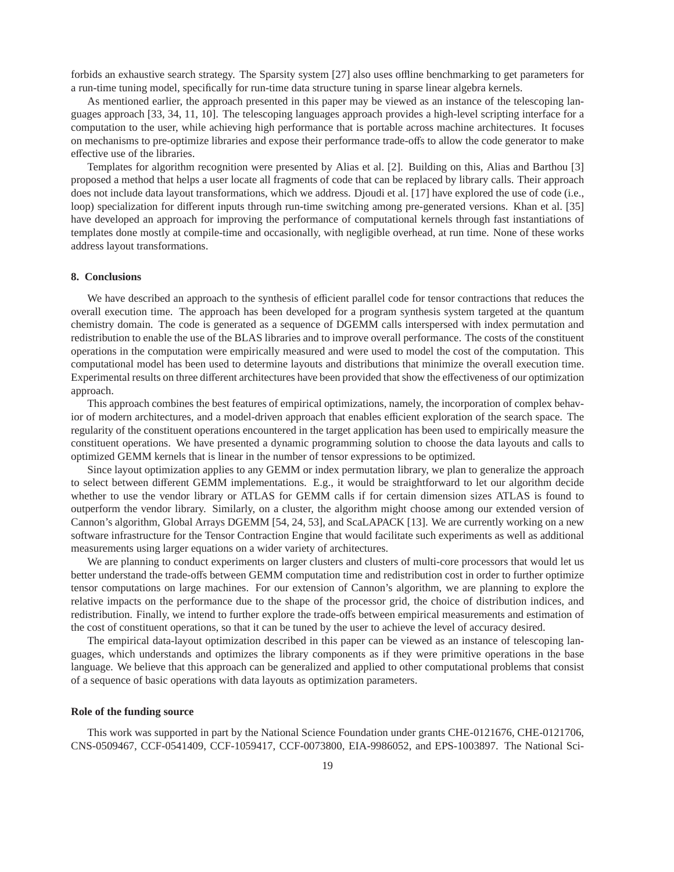forbids an exhaustive search strategy. The Sparsity system [27] also uses offline benchmarking to get parameters for a run-time tuning model, specifically for run-time data structure tuning in sparse linear algebra kernels.

As mentioned earlier, the approach presented in this paper may be viewed as an instance of the telescoping languages approach [33, 34, 11, 10]. The telescoping languages approach provides a high-level scripting interface for a computation to the user, while achieving high performance that is portable across machine architectures. It focuses on mechanisms to pre-optimize libraries and expose their performance trade-offs to allow the code generator to make effective use of the libraries.

Templates for algorithm recognition were presented by Alias et al. [2]. Building on this, Alias and Barthou [3] proposed a method that helps a user locate all fragments of code that can be replaced by library calls. Their approach does not include data layout transformations, which we address. Djoudi et al. [17] have explored the use of code (i.e., loop) specialization for different inputs through run-time switching among pre-generated versions. Khan et al. [35] have developed an approach for improving the performance of computational kernels through fast instantiations of templates done mostly at compile-time and occasionally, with negligible overhead, at run time. None of these works address layout transformations.

# **8. Conclusions**

We have described an approach to the synthesis of efficient parallel code for tensor contractions that reduces the overall execution time. The approach has been developed for a program synthesis system targeted at the quantum chemistry domain. The code is generated as a sequence of DGEMM calls interspersed with index permutation and redistribution to enable the use of the BLAS libraries and to improve overall performance. The costs of the constituent operations in the computation were empirically measured and were used to model the cost of the computation. This computational model has been used to determine layouts and distributions that minimize the overall execution time. Experimental results on three different architectures have been provided that show the effectiveness of our optimization approach.

This approach combines the best features of empirical optimizations, namely, the incorporation of complex behavior of modern architectures, and a model-driven approach that enables efficient exploration of the search space. The regularity of the constituent operations encountered in the target application has been used to empirically measure the constituent operations. We have presented a dynamic programming solution to choose the data layouts and calls to optimized GEMM kernels that is linear in the number of tensor expressions to be optimized.

Since layout optimization applies to any GEMM or index permutation library, we plan to generalize the approach to select between different GEMM implementations. E.g., it would be straightforward to let our algorithm decide whether to use the vendor library or ATLAS for GEMM calls if for certain dimension sizes ATLAS is found to outperform the vendor library. Similarly, on a cluster, the algorithm might choose among our extended version of Cannon's algorithm, Global Arrays DGEMM [54, 24, 53], and ScaLAPACK [13]. We are currently working on a new software infrastructure for the Tensor Contraction Engine that would facilitate such experiments as well as additional measurements using larger equations on a wider variety of architectures.

We are planning to conduct experiments on larger clusters and clusters of multi-core processors that would let us better understand the trade-offs between GEMM computation time and redistribution cost in order to further optimize tensor computations on large machines. For our extension of Cannon's algorithm, we are planning to explore the relative impacts on the performance due to the shape of the processor grid, the choice of distribution indices, and redistribution. Finally, we intend to further explore the trade-offs between empirical measurements and estimation of the cost of constituent operations, so that it can be tuned by the user to achieve the level of accuracy desired.

The empirical data-layout optimization described in this paper can be viewed as an instance of telescoping languages, which understands and optimizes the library components as if they were primitive operations in the base language. We believe that this approach can be generalized and applied to other computational problems that consist of a sequence of basic operations with data layouts as optimization parameters.

## **Role of the funding source**

This work was supported in part by the National Science Foundation under grants CHE-0121676, CHE-0121706, CNS-0509467, CCF-0541409, CCF-1059417, CCF-0073800, EIA-9986052, and EPS-1003897. The National Sci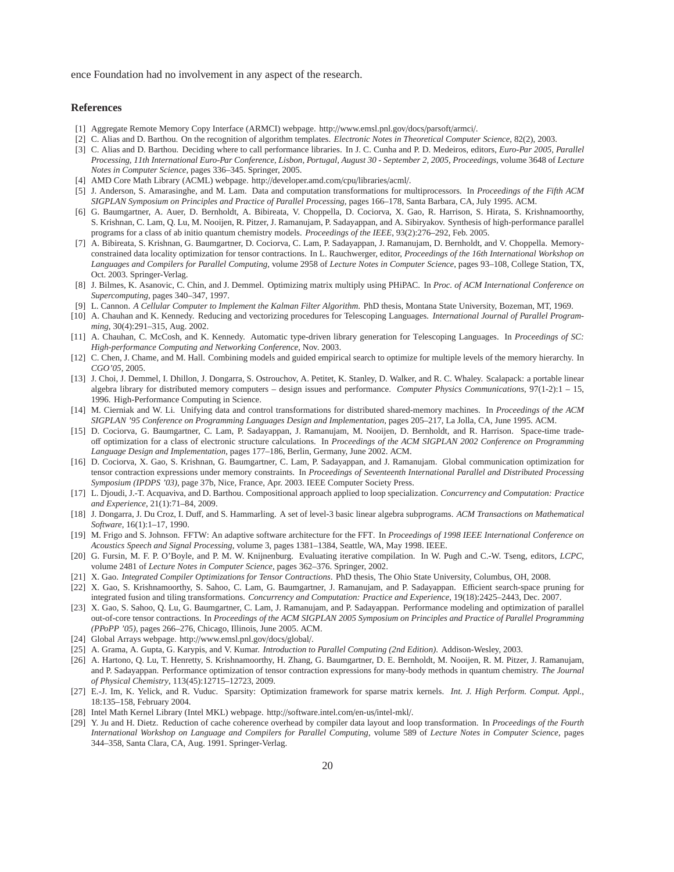ence Foundation had no involvement in any aspect of the research.

# **References**

- [1] Aggregate Remote Memory Copy Interface (ARMCI) webpage. http://www.emsl.pnl.gov/docs/parsoft/armci/.
- [2] C. Alias and D. Barthou. On the recognition of algorithm templates. *Electronic Notes in Theoretical Computer Science*, 82(2), 2003.
- [3] C. Alias and D. Barthou. Deciding where to call performance libraries. In J. C. Cunha and P. D. Medeiros, editors, *Euro-Par 2005, Parallel Processing, 11th International Euro-Par Conference, Lisbon, Portugal, August 30 - September 2, 2005, Proceedings*, volume 3648 of *Lecture Notes in Computer Science*, pages 336–345. Springer, 2005.
- [4] AMD Core Math Library (ACML) webpage. http://developer.amd.com/cpu/libraries/acml/.
- [5] J. Anderson, S. Amarasinghe, and M. Lam. Data and computation transformations for multiprocessors. In *Proceedings of the Fifth ACM SIGPLAN Symposium on Principles and Practice of Parallel Processing*, pages 166–178, Santa Barbara, CA, July 1995. ACM.
- [6] G. Baumgartner, A. Auer, D. Bernholdt, A. Bibireata, V. Choppella, D. Cociorva, X. Gao, R. Harrison, S. Hirata, S. Krishnamoorthy, S. Krishnan, C. Lam, Q. Lu, M. Nooijen, R. Pitzer, J. Ramanujam, P. Sadayappan, and A. Sibiryakov. Synthesis of high-performance parallel programs for a class of ab initio quantum chemistry models. *Proceedings of the IEEE*, 93(2):276–292, Feb. 2005.
- [7] A. Bibireata, S. Krishnan, G. Baumgartner, D. Cociorva, C. Lam, P. Sadayappan, J. Ramanujam, D. Bernholdt, and V. Choppella. Memoryconstrained data locality optimization for tensor contractions. In L. Rauchwerger, editor, *Proceedings of the 16th International Workshop on Languages and Compilers for Parallel Computing*, volume 2958 of *Lecture Notes in Computer Science*, pages 93–108, College Station, TX, Oct. 2003. Springer-Verlag.
- [8] J. Bilmes, K. Asanovic, C. Chin, and J. Demmel. Optimizing matrix multiply using PHiPAC. In *Proc. of ACM International Conference on Supercomputing*, pages 340–347, 1997.
- [9] L. Cannon. *A Cellular Computer to Implement the Kalman Filter Algorithm*. PhD thesis, Montana State University, Bozeman, MT, 1969.
- [10] A. Chauhan and K. Kennedy. Reducing and vectorizing procedures for Telescoping Languages. *International Journal of Parallel Programming*, 30(4):291–315, Aug. 2002.
- [11] A. Chauhan, C. McCosh, and K. Kennedy. Automatic type-driven library generation for Telescoping Languages. In *Proceedings of SC: High-performance Computing and Networking Conference*, Nov. 2003.
- [12] C. Chen, J. Chame, and M. Hall. Combining models and guided empirical search to optimize for multiple levels of the memory hierarchy. In *CGO'05*, 2005.
- [13] J. Choi, J. Demmel, I. Dhillon, J. Dongarra, S. Ostrouchov, A. Petitet, K. Stanley, D. Walker, and R. C. Whaley. Scalapack: a portable linear algebra library for distributed memory computers – design issues and performance. *Computer Physics Communications*, 97(1-2):1 – 15, 1996. High-Performance Computing in Science.
- [14] M. Cierniak and W. Li. Unifying data and control transformations for distributed shared-memory machines. In *Proceedings of the ACM SIGPLAN '95 Conference on Programming Languages Design and Implementation*, pages 205–217, La Jolla, CA, June 1995. ACM.
- [15] D. Cociorva, G. Baumgartner, C. Lam, P. Sadayappan, J. Ramanujam, M. Nooijen, D. Bernholdt, and R. Harrison. Space-time tradeoff optimization for a class of electronic structure calculations. In *Proceedings of the ACM SIGPLAN 2002 Conference on Programming Language Design and Implementation*, pages 177–186, Berlin, Germany, June 2002. ACM.
- [16] D. Cociorva, X. Gao, S. Krishnan, G. Baumgartner, C. Lam, P. Sadayappan, and J. Ramanujam. Global communication optimization for tensor contraction expressions under memory constraints. In *Proceedings of Seventeenth International Parallel and Distributed Processing Symposium (IPDPS '03)*, page 37b, Nice, France, Apr. 2003. IEEE Computer Society Press.
- [17] L. Djoudi, J.-T. Acquaviva, and D. Barthou. Compositional approach applied to loop specialization. *Concurrency and Computation: Practice and Experience*, 21(1):71–84, 2009.
- [18] J. Dongarra, J. Du Croz, I. Duff, and S. Hammarling. A set of level-3 basic linear algebra subprograms. *ACM Transactions on Mathematical Software*, 16(1):1–17, 1990.
- [19] M. Frigo and S. Johnson. FFTW: An adaptive software architecture for the FFT. In *Proceedings of 1998 IEEE International Conference on Acoustics Speech and Signal Processing*, volume 3, pages 1381–1384, Seattle, WA, May 1998. IEEE.
- [20] G. Fursin, M. F. P. O'Boyle, and P. M. W. Knijnenburg. Evaluating iterative compilation. In W. Pugh and C.-W. Tseng, editors, *LCPC*, volume 2481 of *Lecture Notes in Computer Science*, pages 362–376. Springer, 2002.
- [21] X. Gao. *Integrated Compiler Optimizations for Tensor Contractions*. PhD thesis, The Ohio State University, Columbus, OH, 2008.
- [22] X. Gao, S. Krishnamoorthy, S. Sahoo, C. Lam, G. Baumgartner, J. Ramanujam, and P. Sadayappan. Efficient search-space pruning for integrated fusion and tiling transformations. *Concurrency and Computation: Practice and Experience*, 19(18):2425–2443, Dec. 2007.
- [23] X. Gao, S. Sahoo, Q. Lu, G. Baumgartner, C. Lam, J. Ramanujam, and P. Sadayappan. Performance modeling and optimization of parallel out-of-core tensor contractions. In *Proceedings of the ACM SIGPLAN 2005 Symposium on Principles and Practice of Parallel Programming (PPoPP '05)*, pages 266–276, Chicago, Illinois, June 2005. ACM.
- [24] Global Arrays webpage. http://www.emsl.pnl.gov/docs/global/.
- [25] A. Grama, A. Gupta, G. Karypis, and V. Kumar. *Introduction to Parallel Computing (2nd Edition)*. Addison-Wesley, 2003.
- [26] A. Hartono, Q. Lu, T. Henretty, S. Krishnamoorthy, H. Zhang, G. Baumgartner, D. E. Bernholdt, M. Nooijen, R. M. Pitzer, J. Ramanujam, and P. Sadayappan. Performance optimization of tensor contraction expressions for many-body methods in quantum chemistry. *The Journal of Physical Chemistry*, 113(45):12715–12723, 2009.
- [27] E.-J. Im, K. Yelick, and R. Vuduc. Sparsity: Optimization framework for sparse matrix kernels. *Int. J. High Perform. Comput. Appl.*, 18:135–158, February 2004.
- [28] Intel Math Kernel Library (Intel MKL) webpage. http://software.intel.com/en-us/intel-mkl/.
- [29] Y. Ju and H. Dietz. Reduction of cache coherence overhead by compiler data layout and loop transformation. In *Proceedings of the Fourth International Workshop on Language and Compilers for Parallel Computing*, volume 589 of *Lecture Notes in Computer Science*, pages 344–358, Santa Clara, CA, Aug. 1991. Springer-Verlag.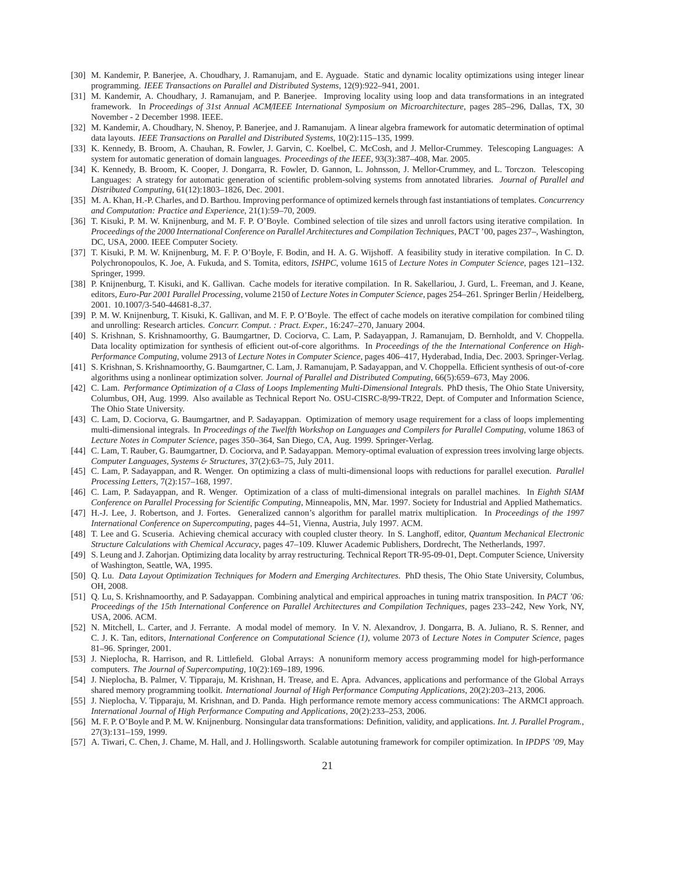- [30] M. Kandemir, P. Banerjee, A. Choudhary, J. Ramanujam, and E. Ayguade. Static and dynamic locality optimizations using integer linear programming. *IEEE Transactions on Parallel and Distributed Systems*, 12(9):922–941, 2001.
- [31] M. Kandemir, A. Choudhary, J. Ramanujam, and P. Banerjee. Improving locality using loop and data transformations in an integrated framework. In *Proceedings of 31st Annual ACM*/*IEEE International Symposium on Microarchitecture*, pages 285–296, Dallas, TX, 30 November - 2 December 1998. IEEE.
- [32] M. Kandemir, A. Choudhary, N. Shenoy, P. Banerjee, and J. Ramanujam. A linear algebra framework for automatic determination of optimal data layouts. *IEEE Transactions on Parallel and Distributed Systems*, 10(2):115–135, 1999.
- [33] K. Kennedy, B. Broom, A. Chauhan, R. Fowler, J. Garvin, C. Koelbel, C. McCosh, and J. Mellor-Crummey. Telescoping Languages: A system for automatic generation of domain languages. *Proceedings of the IEEE*, 93(3):387–408, Mar. 2005.
- [34] K. Kennedy, B. Broom, K. Cooper, J. Dongarra, R. Fowler, D. Gannon, L. Johnsson, J. Mellor-Crummey, and L. Torczon. Telescoping Languages: A strategy for automatic generation of scientific problem-solving systems from annotated libraries. *Journal of Parallel and Distributed Computing*, 61(12):1803–1826, Dec. 2001.
- [35] M. A. Khan, H.-P. Charles, and D. Barthou. Improving performance of optimized kernels through fast instantiations of templates. *Concurrency and Computation: Practice and Experience*, 21(1):59–70, 2009.
- [36] T. Kisuki, P. M. W. Knijnenburg, and M. F. P. O'Boyle. Combined selection of tile sizes and unroll factors using iterative compilation. In *Proceedings of the 2000 International Conference on Parallel Architectures and Compilation Techniques*, PACT '00, pages 237–, Washington, DC, USA, 2000. IEEE Computer Society.
- [37] T. Kisuki, P. M. W. Knijnenburg, M. F. P. O'Boyle, F. Bodin, and H. A. G. Wijshoff. A feasibility study in iterative compilation. In C. D. Polychronopoulos, K. Joe, A. Fukuda, and S. Tomita, editors, *ISHPC*, volume 1615 of *Lecture Notes in Computer Science*, pages 121–132. Springer, 1999.
- [38] P. Knijnenburg, T. Kisuki, and K. Gallivan. Cache models for iterative compilation. In R. Sakellariou, J. Gurd, L. Freeman, and J. Keane, editors, *Euro-Par 2001 Parallel Processing*, volume 2150 of *Lecture Notes in Computer Science*, pages 254–261. Springer Berlin / Heidelberg, 2001. 10.1007/3-540-44681-8 37.
- [39] P. M. W. Knijnenburg, T. Kisuki, K. Gallivan, and M. F. P. O'Boyle. The effect of cache models on iterative compilation for combined tiling and unrolling: Research articles. *Concurr. Comput. : Pract. Exper.*, 16:247–270, January 2004.
- [40] S. Krishnan, S. Krishnamoorthy, G. Baumgartner, D. Cociorva, C. Lam, P. Sadayappan, J. Ramanujam, D. Bernholdt, and V. Choppella. Data locality optimization for synthesis of efficient out-of-core algorithms. In *Proceedings of the the International Conference on High-Performance Computing*, volume 2913 of *Lecture Notes in Computer Science*, pages 406–417, Hyderabad, India, Dec. 2003. Springer-Verlag.
- [41] S. Krishnan, S. Krishnamoorthy, G. Baumgartner, C. Lam, J. Ramanujam, P. Sadayappan, and V. Choppella. Efficient synthesis of out-of-core algorithms using a nonlinear optimization solver. *Journal of Parallel and Distributed Computing*, 66(5):659–673, May 2006.
- [42] C. Lam. *Performance Optimization of a Class of Loops Implementing Multi-Dimensional Integrals*. PhD thesis, The Ohio State University, Columbus, OH, Aug. 1999. Also available as Technical Report No. OSU-CISRC-8/99-TR22, Dept. of Computer and Information Science, The Ohio State University.
- [43] C. Lam, D. Cociorva, G. Baumgartner, and P. Sadayappan. Optimization of memory usage requirement for a class of loops implementing multi-dimensional integrals. In *Proceedings of the Twelfth Workshop on Languages and Compilers for Parallel Computing*, volume 1863 of *Lecture Notes in Computer Science*, pages 350–364, San Diego, CA, Aug. 1999. Springer-Verlag.
- [44] C. Lam, T. Rauber, G. Baumgartner, D. Cociorva, and P. Sadayappan. Memory-optimal evaluation of expression trees involving large objects. *Computer Languages, Systems* & *Structures*, 37(2):63–75, July 2011.
- [45] C. Lam, P. Sadayappan, and R. Wenger. On optimizing a class of multi-dimensional loops with reductions for parallel execution. *Parallel Processing Letters*, 7(2):157–168, 1997.
- [46] C. Lam, P. Sadayappan, and R. Wenger. Optimization of a class of multi-dimensional integrals on parallel machines. In *Eighth SIAM Conference on Parallel Processing for Scientific Computing*, Minneapolis, MN, Mar. 1997. Society for Industrial and Applied Mathematics.
- [47] H.-J. Lee, J. Robertson, and J. Fortes. Generalized cannon's algorithm for parallel matrix multiplication. In *Proceedings of the 1997 International Conference on Supercomputing*, pages 44–51, Vienna, Austria, July 1997. ACM.
- [48] T. Lee and G. Scuseria. Achieving chemical accuracy with coupled cluster theory. In S. Langhoff, editor, *Quantum Mechanical Electronic Structure Calculations with Chemical Accuracy*, pages 47–109. Kluwer Academic Publishers, Dordrecht, The Netherlands, 1997.
- [49] S. Leung and J. Zahorjan. Optimizing data locality by array restructuring. Technical Report TR-95-09-01, Dept. Computer Science, University of Washington, Seattle, WA, 1995.
- [50] Q. Lu. *Data Layout Optimization Techniques for Modern and Emerging Architectures*. PhD thesis, The Ohio State University, Columbus, OH, 2008.
- [51] Q. Lu, S. Krishnamoorthy, and P. Sadayappan. Combining analytical and empirical approaches in tuning matrix transposition. In *PACT '06: Proceedings of the 15th International Conference on Parallel Architectures and Compilation Techniques*, pages 233–242, New York, NY, USA, 2006. ACM.
- [52] N. Mitchell, L. Carter, and J. Ferrante. A modal model of memory. In V. N. Alexandrov, J. Dongarra, B. A. Juliano, R. S. Renner, and C. J. K. Tan, editors, *International Conference on Computational Science (1)*, volume 2073 of *Lecture Notes in Computer Science*, pages 81–96. Springer, 2001.
- [53] J. Nieplocha, R. Harrison, and R. Littlefield. Global Arrays: A nonuniform memory access programming model for high-performance computers. *The Journal of Supercomputing*, 10(2):169–189, 1996.
- [54] J. Nieplocha, B. Palmer, V. Tipparaju, M. Krishnan, H. Trease, and E. Apra. Advances, applications and performance of the Global Arrays shared memory programming toolkit. *International Journal of High Performance Computing Applications*, 20(2):203–213, 2006.
- [55] J. Nieplocha, V. Tipparaju, M. Krishnan, and D. Panda. High performance remote memory access communications: The ARMCI approach. *International Journal of High Performance Computing and Applications*, 20(2):233–253, 2006.
- [56] M. F. P. O'Boyle and P. M. W. Knijnenburg. Nonsingular data transformations: Definition, validity, and applications. *Int. J. Parallel Program.*, 27(3):131–159, 1999.
- [57] A. Tiwari, C. Chen, J. Chame, M. Hall, and J. Hollingsworth. Scalable autotuning framework for compiler optimization. In *IPDPS '09*, May